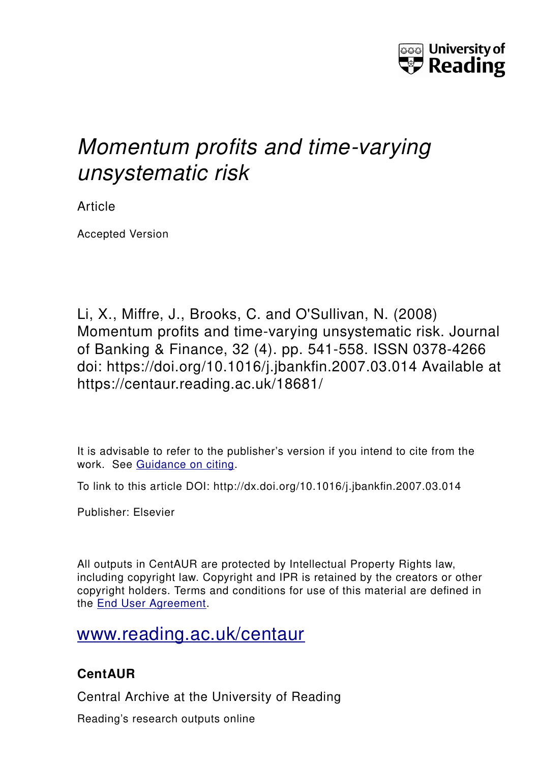

# *Momentum profits and time-varying unsystematic risk*

Article

Accepted Version

Li, X., Miffre, J., Brooks, C. and O'Sullivan, N. (2008) Momentum profits and time-varying unsystematic risk. Journal of Banking & Finance, 32 (4). pp. 541-558. ISSN 0378-4266 doi: https://doi.org/10.1016/j.jbankfin.2007.03.014 Available at https://centaur.reading.ac.uk/18681/

It is advisable to refer to the publisher's version if you intend to cite from the work. See [Guidance on citing.](http://centaur.reading.ac.uk/71187/10/CentAUR%20citing%20guide.pdf)

To link to this article DOI: http://dx.doi.org/10.1016/j.jbankfin.2007.03.014

Publisher: Elsevier

All outputs in CentAUR are protected by Intellectual Property Rights law, including copyright law. Copyright and IPR is retained by the creators or other copyright holders. Terms and conditions for use of this material are defined in the [End User Agreement.](http://centaur.reading.ac.uk/licence)

### [www.reading.ac.uk/centaur](http://www.reading.ac.uk/centaur)

### **CentAUR**

Central Archive at the University of Reading

Reading's research outputs online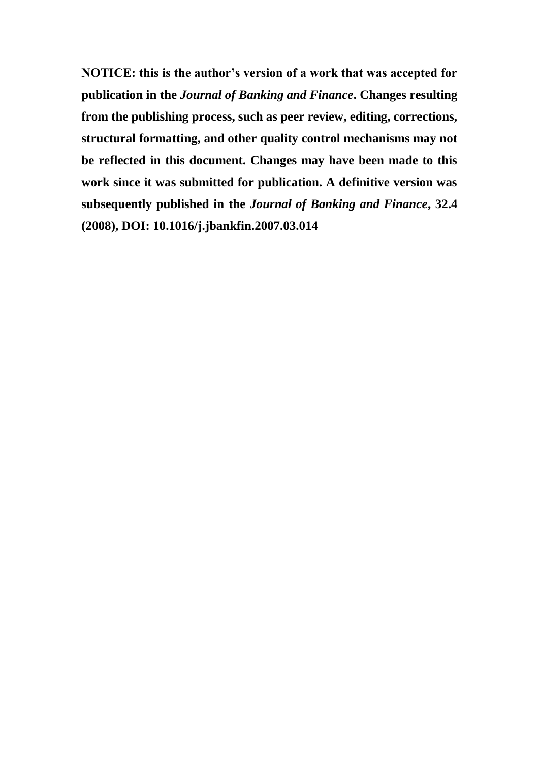**NOTICE: this is the author's version of a work that was accepted for publication in the** *Journal of Banking and Finance***. Changes resulting from the publishing process, such as peer review, editing, corrections, structural formatting, and other quality control mechanisms may not be reflected in this document. Changes may have been made to this work since it was submitted for publication. A definitive version was subsequently published in the** *Journal of Banking and Finance***, 32.4 (2008), DOI: 10.1016/j.jbankfin.2007.03.014**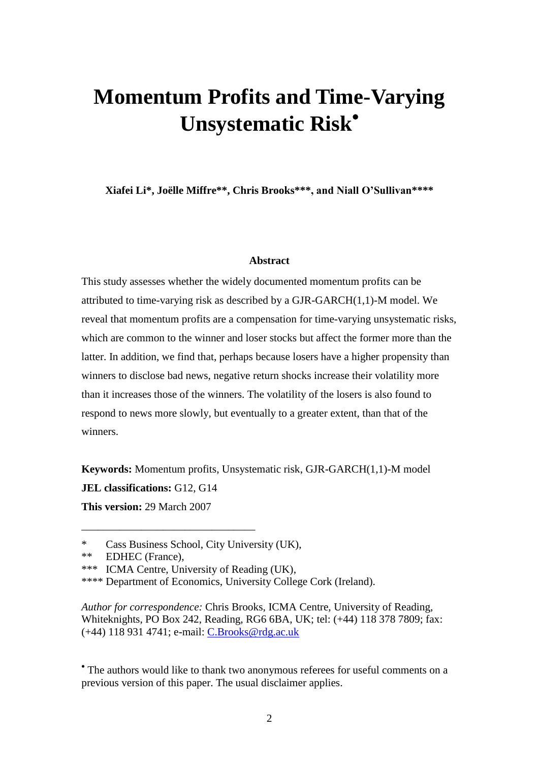## **Momentum Profits and Time-Varying Unsystematic Risk**

**Xiafei Li\*, Joëlle Miffre\*\*, Chris Brooks\*\*\*, and Niall O'Sullivan\*\*\*\***

#### **Abstract**

This study assesses whether the widely documented momentum profits can be attributed to time-varying risk as described by a GJR-GARCH(1,1)-M model. We reveal that momentum profits are a compensation for time-varying unsystematic risks, which are common to the winner and loser stocks but affect the former more than the latter. In addition, we find that, perhaps because losers have a higher propensity than winners to disclose bad news, negative return shocks increase their volatility more than it increases those of the winners. The volatility of the losers is also found to respond to news more slowly, but eventually to a greater extent, than that of the winners.

**Keywords:** Momentum profits, Unsystematic risk, GJR-GARCH(1,1)-M model **JEL classifications:** G12, G14 **This version:** 29 March 2007

\_\_\_\_\_\_\_\_\_\_\_\_\_\_\_\_\_\_\_\_\_\_\_\_\_\_\_\_\_\_\_\_

 The authors would like to thank two anonymous referees for useful comments on a previous version of this paper. The usual disclaimer applies.

<sup>\*</sup> Cass Business School, City University (UK),

<sup>\*\*</sup> EDHEC (France),

<sup>\*\*\*</sup> ICMA Centre, University of Reading (UK),

<sup>\*\*\*\*</sup> Department of Economics, University College Cork (Ireland).

*Author for correspondence:* Chris Brooks, ICMA Centre, University of Reading, Whiteknights, PO Box 242, Reading, RG6 6BA, UK; tel: (+44) 118 378 7809; fax: (+44) 118 931 4741; e-mail: [C.Brooks@rdg.ac.uk](mailto:C.Brooks@rdg.ac.uk)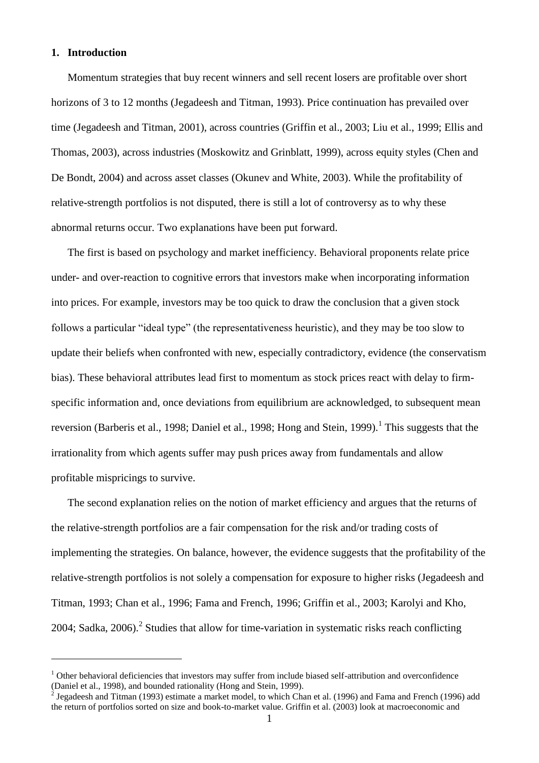#### **1. Introduction**

1

Momentum strategies that buy recent winners and sell recent losers are profitable over short horizons of 3 to 12 months (Jegadeesh and Titman, 1993). Price continuation has prevailed over time (Jegadeesh and Titman, 2001), across countries (Griffin et al., 2003; Liu et al., 1999; Ellis and Thomas, 2003), across industries (Moskowitz and Grinblatt, 1999), across equity styles (Chen and De Bondt, 2004) and across asset classes (Okunev and White, 2003). While the profitability of relative-strength portfolios is not disputed, there is still a lot of controversy as to why these abnormal returns occur. Two explanations have been put forward.

The first is based on psychology and market inefficiency. Behavioral proponents relate price under- and over-reaction to cognitive errors that investors make when incorporating information into prices. For example, investors may be too quick to draw the conclusion that a given stock follows a particular "ideal type" (the representativeness heuristic), and they may be too slow to update their beliefs when confronted with new, especially contradictory, evidence (the conservatism bias). These behavioral attributes lead first to momentum as stock prices react with delay to firmspecific information and, once deviations from equilibrium are acknowledged, to subsequent mean reversion (Barberis et al., 1998; Daniel et al., 1998; Hong and Stein, 1999).<sup>1</sup> This suggests that the irrationality from which agents suffer may push prices away from fundamentals and allow profitable mispricings to survive.

The second explanation relies on the notion of market efficiency and argues that the returns of the relative-strength portfolios are a fair compensation for the risk and/or trading costs of implementing the strategies. On balance, however, the evidence suggests that the profitability of the relative-strength portfolios is not solely a compensation for exposure to higher risks (Jegadeesh and Titman, 1993; Chan et al., 1996; Fama and French, 1996; Griffin et al., 2003; Karolyi and Kho, 2004; Sadka, 2006).<sup>2</sup> Studies that allow for time-variation in systematic risks reach conflicting

<sup>&</sup>lt;sup>1</sup> Other behavioral deficiencies that investors may suffer from include biased self-attribution and overconfidence (Daniel et al., 1998), and bounded rationality (Hong and Stein, 1999).

<sup>2</sup> Jegadeesh and Titman (1993) estimate a market model, to which Chan et al. (1996) and Fama and French (1996) add the return of portfolios sorted on size and book-to-market value. Griffin et al. (2003) look at macroeconomic and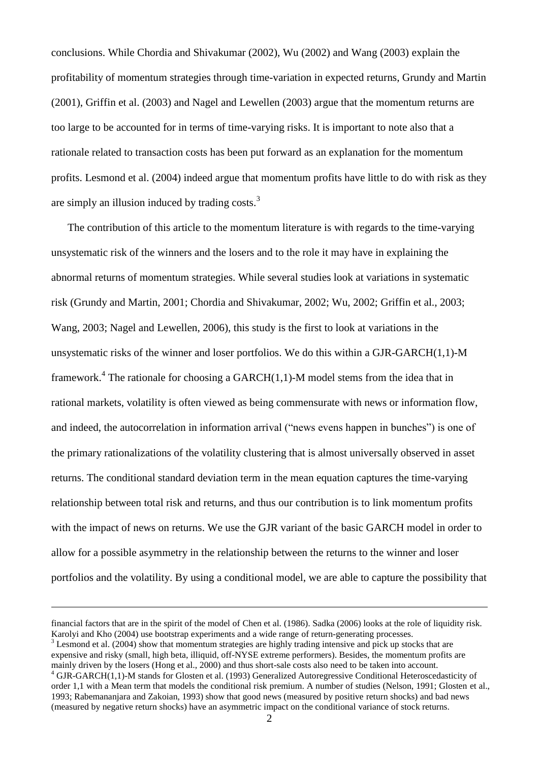conclusions. While Chordia and Shivakumar (2002), Wu (2002) and Wang (2003) explain the profitability of momentum strategies through time-variation in expected returns, Grundy and Martin (2001), Griffin et al. (2003) and Nagel and Lewellen (2003) argue that the momentum returns are too large to be accounted for in terms of time-varying risks. It is important to note also that a rationale related to transaction costs has been put forward as an explanation for the momentum profits. Lesmond et al. (2004) indeed argue that momentum profits have little to do with risk as they are simply an illusion induced by trading  $costs^3$ .

The contribution of this article to the momentum literature is with regards to the time-varying unsystematic risk of the winners and the losers and to the role it may have in explaining the abnormal returns of momentum strategies. While several studies look at variations in systematic risk (Grundy and Martin, 2001; Chordia and Shivakumar, 2002; Wu, 2002; Griffin et al., 2003; Wang, 2003; Nagel and Lewellen, 2006), this study is the first to look at variations in the unsystematic risks of the winner and loser portfolios. We do this within a GJR-GARCH(1,1)-M framework.<sup>4</sup> The rationale for choosing a GARCH(1,1)-M model stems from the idea that in rational markets, volatility is often viewed as being commensurate with news or information flow, and indeed, the autocorrelation in information arrival ("news evens happen in bunches") is one of the primary rationalizations of the volatility clustering that is almost universally observed in asset returns. The conditional standard deviation term in the mean equation captures the time-varying relationship between total risk and returns, and thus our contribution is to link momentum profits with the impact of news on returns. We use the GJR variant of the basic GARCH model in order to allow for a possible asymmetry in the relationship between the returns to the winner and loser portfolios and the volatility. By using a conditional model, we are able to capture the possibility that

financial factors that are in the spirit of the model of Chen et al. (1986). Sadka (2006) looks at the role of liquidity risk. Karolyi and Kho (2004) use bootstrap experiments and a wide range of return-generating processes.

<sup>&</sup>lt;sup>3</sup> Lesmond et al. (2004) show that momentum strategies are highly trading intensive and pick up stocks that are expensive and risky (small, high beta, illiquid, off-NYSE extreme performers). Besides, the momentum profits are mainly driven by the losers (Hong et al., 2000) and thus short-sale costs also need to be taken into account. <sup>4</sup> GJR-GARCH(1,1)-M stands for Glosten et al. (1993) Generalized Autoregressive Conditional Heteroscedasticity of order 1,1 with a Mean term that models the conditional risk premium. A number of studies (Nelson, 1991; Glosten et al., 1993; Rabemananjara and Zakoian, 1993) show that good news (measured by positive return shocks) and bad news (measured by negative return shocks) have an asymmetric impact on the conditional variance of stock returns.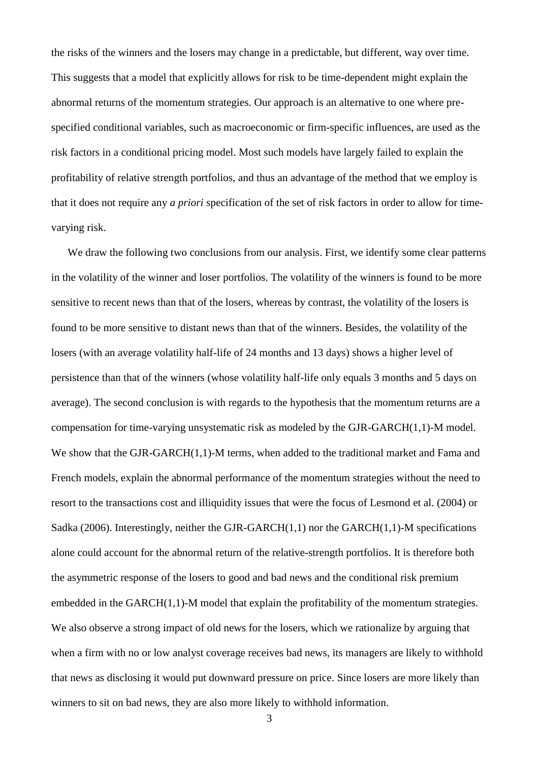the risks of the winners and the losers may change in a predictable, but different, way over time. This suggests that a model that explicitly allows for risk to be time-dependent might explain the abnormal returns of the momentum strategies. Our approach is an alternative to one where prespecified conditional variables, such as macroeconomic or firm-specific influences, are used as the risk factors in a conditional pricing model. Most such models have largely failed to explain the profitability of relative strength portfolios, and thus an advantage of the method that we employ is that it does not require any *a priori* specification of the set of risk factors in order to allow for timevarying risk.

We draw the following two conclusions from our analysis. First, we identify some clear patterns in the volatility of the winner and loser portfolios. The volatility of the winners is found to be more sensitive to recent news than that of the losers, whereas by contrast, the volatility of the losers is found to be more sensitive to distant news than that of the winners. Besides, the volatility of the losers (with an average volatility half-life of 24 months and 13 days) shows a higher level of persistence than that of the winners (whose volatility half-life only equals 3 months and 5 days on average). The second conclusion is with regards to the hypothesis that the momentum returns are a compensation for time-varying unsystematic risk as modeled by the GJR-GARCH(1,1)-M model. We show that the GJR-GARCH(1,1)-M terms, when added to the traditional market and Fama and French models, explain the abnormal performance of the momentum strategies without the need to resort to the transactions cost and illiquidity issues that were the focus of Lesmond et al. (2004) or Sadka (2006). Interestingly, neither the GJR-GARCH(1,1) nor the GARCH(1,1)-M specifications alone could account for the abnormal return of the relative-strength portfolios. It is therefore both the asymmetric response of the losers to good and bad news and the conditional risk premium embedded in the GARCH(1,1)-M model that explain the profitability of the momentum strategies. We also observe a strong impact of old news for the losers, which we rationalize by arguing that when a firm with no or low analyst coverage receives bad news, its managers are likely to withhold that news as disclosing it would put downward pressure on price. Since losers are more likely than winners to sit on bad news, they are also more likely to withhold information.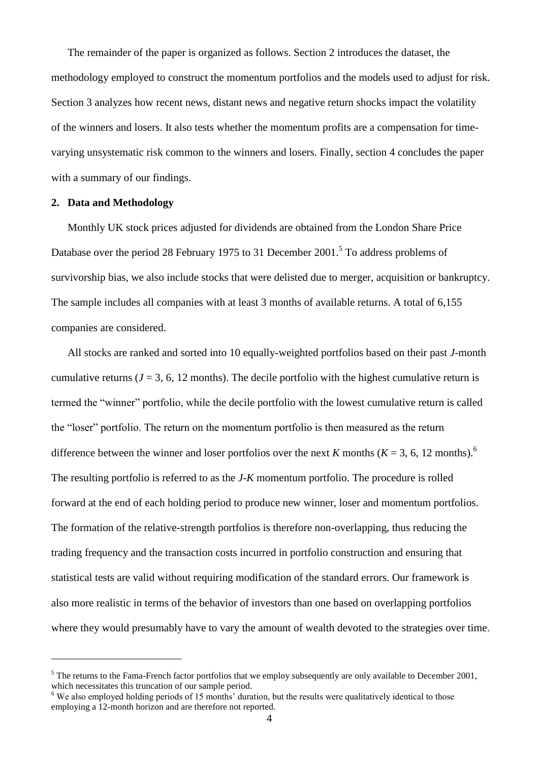The remainder of the paper is organized as follows. Section 2 introduces the dataset, the methodology employed to construct the momentum portfolios and the models used to adjust for risk. Section 3 analyzes how recent news, distant news and negative return shocks impact the volatility of the winners and losers. It also tests whether the momentum profits are a compensation for timevarying unsystematic risk common to the winners and losers. Finally, section 4 concludes the paper with a summary of our findings.

#### **2. Data and Methodology**

1

Monthly UK stock prices adjusted for dividends are obtained from the London Share Price Database over the period 28 February 1975 to 31 December 2001.<sup>5</sup> To address problems of survivorship bias, we also include stocks that were delisted due to merger, acquisition or bankruptcy. The sample includes all companies with at least 3 months of available returns. A total of 6,155 companies are considered.

All stocks are ranked and sorted into 10 equally-weighted portfolios based on their past *J*-month cumulative returns  $(J = 3, 6, 12 \text{ months})$ . The decile portfolio with the highest cumulative return is termed the "winner" portfolio, while the decile portfolio with the lowest cumulative return is called the "loser" portfolio. The return on the momentum portfolio is then measured as the return difference between the winner and loser portfolios over the next *K* months ( $K = 3, 6, 12$  months).<sup>6</sup> The resulting portfolio is referred to as the *J-K* momentum portfolio. The procedure is rolled forward at the end of each holding period to produce new winner, loser and momentum portfolios. The formation of the relative-strength portfolios is therefore non-overlapping, thus reducing the trading frequency and the transaction costs incurred in portfolio construction and ensuring that statistical tests are valid without requiring modification of the standard errors. Our framework is also more realistic in terms of the behavior of investors than one based on overlapping portfolios where they would presumably have to vary the amount of wealth devoted to the strategies over time.

<sup>&</sup>lt;sup>5</sup> The returns to the Fama-French factor portfolios that we employ subsequently are only available to December 2001, which necessitates this truncation of our sample period.

<sup>&</sup>lt;sup>6</sup> We also employed holding periods of 15 months' duration, but the results were qualitatively identical to those employing a 12-month horizon and are therefore not reported.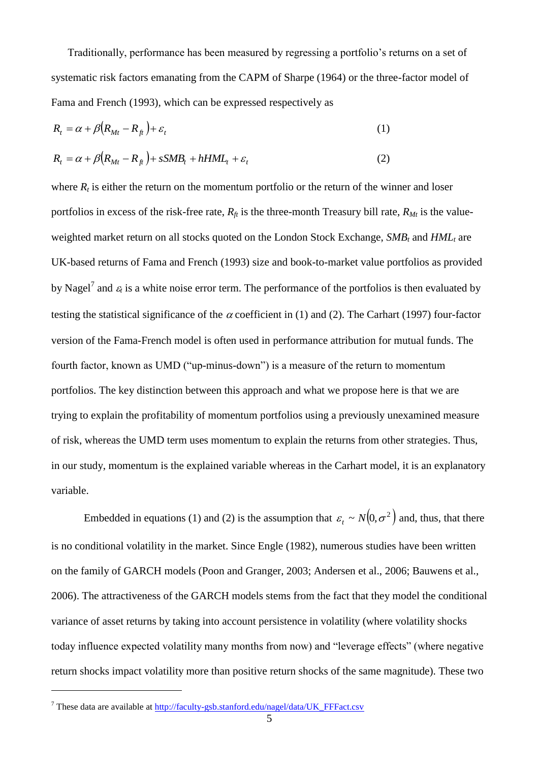Traditionally, performance has been measured by regressing a portfolio's returns on a set of systematic risk factors emanating from the CAPM of Sharpe (1964) or the three-factor model of Fama and French (1993), which can be expressed respectively as

$$
R_t = \alpha + \beta \left( R_{Mt} - R_{ft} \right) + \varepsilon_t \tag{1}
$$

$$
R_t = \alpha + \beta \left( R_{Mt} - R_{ft} \right) + sSMB_t + hHML_t + \varepsilon_t \tag{2}
$$

where  $R_t$  is either the return on the momentum portfolio or the return of the winner and loser portfolios in excess of the risk-free rate,  $R_f$  is the three-month Treasury bill rate,  $R_{Mt}$  is the valueweighted market return on all stocks quoted on the London Stock Exchange, *SMB<sup>t</sup>* and *HML<sup>t</sup>* are UK-based returns of Fama and French (1993) size and book-to-market value portfolios as provided by Nagel<sup>7</sup> and  $\varepsilon_t$  is a white noise error term. The performance of the portfolios is then evaluated by testing the statistical significance of the  $\alpha$  coefficient in (1) and (2). The Carhart (1997) four-factor version of the Fama-French model is often used in performance attribution for mutual funds. The fourth factor, known as UMD ("up-minus-down") is a measure of the return to momentum portfolios. The key distinction between this approach and what we propose here is that we are trying to explain the profitability of momentum portfolios using a previously unexamined measure of risk, whereas the UMD term uses momentum to explain the returns from other strategies. Thus, in our study, momentum is the explained variable whereas in the Carhart model, it is an explanatory variable.

Embedded in equations (1) and (2) is the assumption that  $\varepsilon_t \sim N(0, \sigma^2)$  and, thus, that there is no conditional volatility in the market. Since Engle (1982), numerous studies have been written on the family of GARCH models (Poon and Granger, 2003; Andersen et al., 2006; Bauwens et al., 2006). The attractiveness of the GARCH models stems from the fact that they model the conditional variance of asset returns by taking into account persistence in volatility (where volatility shocks today influence expected volatility many months from now) and "leverage effects" (where negative return shocks impact volatility more than positive return shocks of the same magnitude). These two

<u>.</u>

<sup>&</sup>lt;sup>7</sup> These data are available at [http://faculty-gsb.stanford.edu/nagel/data/UK\\_FFFact.csv](http://faculty-gsb.stanford.edu/nagel/data/UK_FFFact.csv)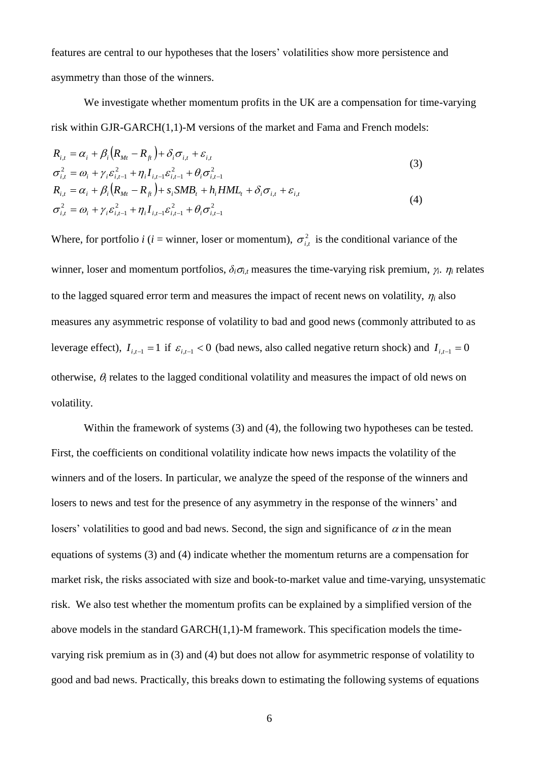features are central to our hypotheses that the losers' volatilities show more persistence and asymmetry than those of the winners.

We investigate whether momentum profits in the UK are a compensation for time-varying risk within GJR-GARCH(1,1)-M versions of the market and Fama and French models:

$$
R_{i,t} = \alpha_i + \beta_i (R_{Mt} - R_{ft}) + \delta_i \sigma_{i,t} + \varepsilon_{i,t}
$$
  
\n
$$
\sigma_{i,t}^2 = \omega_i + \gamma_i \varepsilon_{i,t-1}^2 + \eta_i I_{i,t-1} \varepsilon_{i,t-1}^2 + \theta_i \sigma_{i,t-1}^2
$$
  
\n
$$
R_{i,t} = \alpha_i + \beta_i (R_{Mt} - R_{ft}) + s_i \text{SMB}_t + h_i \text{HML}_t + \delta_i \sigma_{i,t} + \varepsilon_{i,t}
$$
\n(4)

2  $,t-1$ 

2  $t-1$  $\boldsymbol{\epsilon}$ <sub>i</sub>, $t-1$ 

2  $,t-1$ 

 $\sigma_{i,t}^2 = \omega_i + \gamma_i \varepsilon_{i,t-1}^2 + \eta_i I_{i,t-1} \varepsilon_{i,t-1}^2 + \theta_i \sigma_{i,t-1}^2$ 

2

Where, for portfolio *i* (*i* = winner, loser or momentum),  $\sigma_{i,t}^2$  is the conditional variance of the winner, loser and momentum portfolios,  $\delta_i \sigma_{i,t}$  measures the time-varying risk premium,  $\gamma_i$ .  $\eta_i$  relates to the lagged squared error term and measures the impact of recent news on volatility,  $\eta_i$  also measures any asymmetric response of volatility to bad and good news (commonly attributed to as leverage effect),  $I_{i,t-1} = 1$  if  $\varepsilon_{i,t-1} < 0$  (bad news, also called negative return shock) and  $I_{i,t-1} = 0$ otherwise,  $\theta$  relates to the lagged conditional volatility and measures the impact of old news on volatility.

Within the framework of systems (3) and (4), the following two hypotheses can be tested. First, the coefficients on conditional volatility indicate how news impacts the volatility of the winners and of the losers. In particular, we analyze the speed of the response of the winners and losers to news and test for the presence of any asymmetry in the response of the winners' and losers' volatilities to good and bad news. Second, the sign and significance of  $\alpha$  in the mean equations of systems (3) and (4) indicate whether the momentum returns are a compensation for market risk, the risks associated with size and book-to-market value and time-varying, unsystematic risk. We also test whether the momentum profits can be explained by a simplified version of the above models in the standard GARCH(1,1)-M framework. This specification models the timevarying risk premium as in (3) and (4) but does not allow for asymmetric response of volatility to good and bad news. Practically, this breaks down to estimating the following systems of equations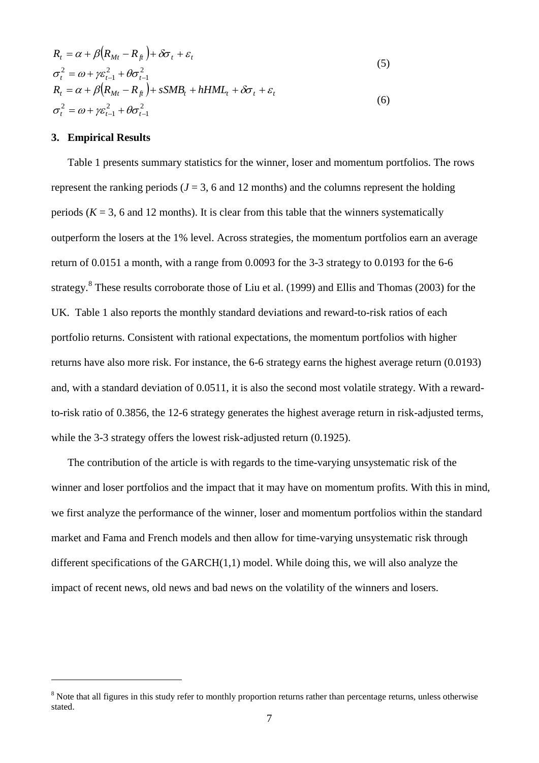$$
R_{t} = \alpha + \beta (R_{Mt} - R_{ft}) + \delta \sigma_{t} + \varepsilon_{t}
$$
  
\n
$$
\sigma_{t}^{2} = \omega + \gamma \varepsilon_{t-1}^{2} + \theta \sigma_{t-1}^{2}
$$
  
\n
$$
R_{t} = \alpha + \beta (R_{Mt} - R_{ft}) + sSMB_{t} + hHML_{t} + \delta \sigma_{t} + \varepsilon_{t}
$$
  
\n
$$
\sigma_{t}^{2} = \omega + \gamma \varepsilon_{t-1}^{2} + \theta \sigma_{t-1}^{2}
$$
\n(6)

#### **3. Empirical Results**

1

Table 1 presents summary statistics for the winner, loser and momentum portfolios. The rows represent the ranking periods ( $J = 3$ , 6 and 12 months) and the columns represent the holding periods  $(K = 3, 6$  and 12 months). It is clear from this table that the winners systematically outperform the losers at the 1% level. Across strategies, the momentum portfolios earn an average return of 0.0151 a month, with a range from 0.0093 for the 3-3 strategy to 0.0193 for the 6-6 strategy.<sup>8</sup> These results corroborate those of Liu et al. (1999) and Ellis and Thomas (2003) for the UK. Table 1 also reports the monthly standard deviations and reward-to-risk ratios of each portfolio returns. Consistent with rational expectations, the momentum portfolios with higher returns have also more risk. For instance, the 6-6 strategy earns the highest average return (0.0193) and, with a standard deviation of 0.0511, it is also the second most volatile strategy. With a rewardto-risk ratio of 0.3856, the 12-6 strategy generates the highest average return in risk-adjusted terms, while the 3-3 strategy offers the lowest risk-adjusted return  $(0.1925)$ .

The contribution of the article is with regards to the time-varying unsystematic risk of the winner and loser portfolios and the impact that it may have on momentum profits. With this in mind, we first analyze the performance of the winner, loser and momentum portfolios within the standard market and Fama and French models and then allow for time-varying unsystematic risk through different specifications of the GARCH(1,1) model. While doing this, we will also analyze the impact of recent news, old news and bad news on the volatility of the winners and losers.

<sup>&</sup>lt;sup>8</sup> Note that all figures in this study refer to monthly proportion returns rather than percentage returns, unless otherwise stated.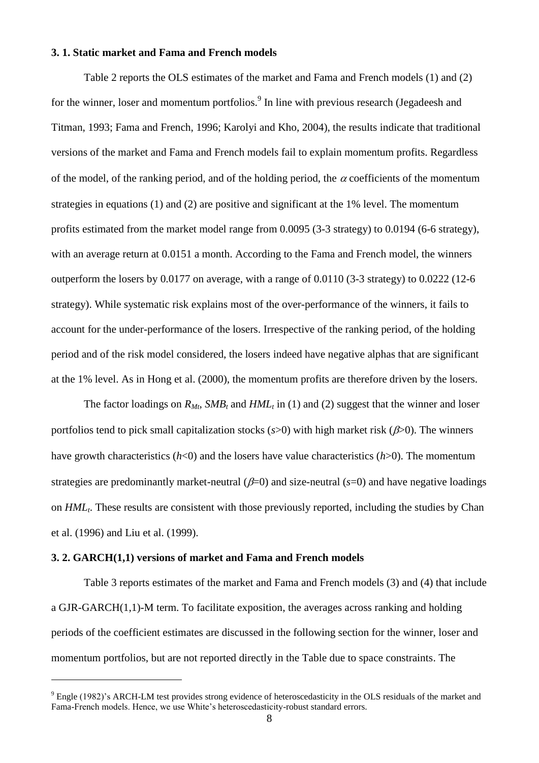#### **3. 1. Static market and Fama and French models**

Table 2 reports the OLS estimates of the market and Fama and French models (1) and (2) for the winner, loser and momentum portfolios.<sup>9</sup> In line with previous research (Jegadeesh and Titman, 1993; Fama and French, 1996; Karolyi and Kho, 2004), the results indicate that traditional versions of the market and Fama and French models fail to explain momentum profits. Regardless of the model, of the ranking period, and of the holding period, the  $\alpha$  coefficients of the momentum strategies in equations (1) and (2) are positive and significant at the 1% level. The momentum profits estimated from the market model range from 0.0095 (3-3 strategy) to 0.0194 (6-6 strategy), with an average return at 0.0151 a month. According to the Fama and French model, the winners outperform the losers by 0.0177 on average, with a range of 0.0110 (3-3 strategy) to 0.0222 (12-6 strategy). While systematic risk explains most of the over-performance of the winners, it fails to account for the under-performance of the losers. Irrespective of the ranking period, of the holding period and of the risk model considered, the losers indeed have negative alphas that are significant at the 1% level. As in Hong et al. (2000), the momentum profits are therefore driven by the losers.

The factor loadings on  $R_{Mt}$ ,  $SMB_t$  and  $HML_t$  in (1) and (2) suggest that the winner and loser portfolios tend to pick small capitalization stocks  $(s>0)$  with high market risk  $(\beta>0)$ . The winners have growth characteristics (*h*<0) and the losers have value characteristics (*h*>0). The momentum strategies are predominantly market-neutral ( $\beta$ =0) and size-neutral ( $s$ =0) and have negative loadings on *HML<sup>t</sup>* . These results are consistent with those previously reported, including the studies by Chan et al. (1996) and Liu et al. (1999).

#### **3. 2. GARCH(1,1) versions of market and Fama and French models**

1

Table 3 reports estimates of the market and Fama and French models (3) and (4) that include a GJR-GARCH(1,1)-M term. To facilitate exposition, the averages across ranking and holding periods of the coefficient estimates are discussed in the following section for the winner, loser and momentum portfolios, but are not reported directly in the Table due to space constraints. The

<sup>&</sup>lt;sup>9</sup> Engle (1982)'s ARCH-LM test provides strong evidence of heteroscedasticity in the OLS residuals of the market and Fama-French models. Hence, we use White's heteroscedasticity-robust standard errors.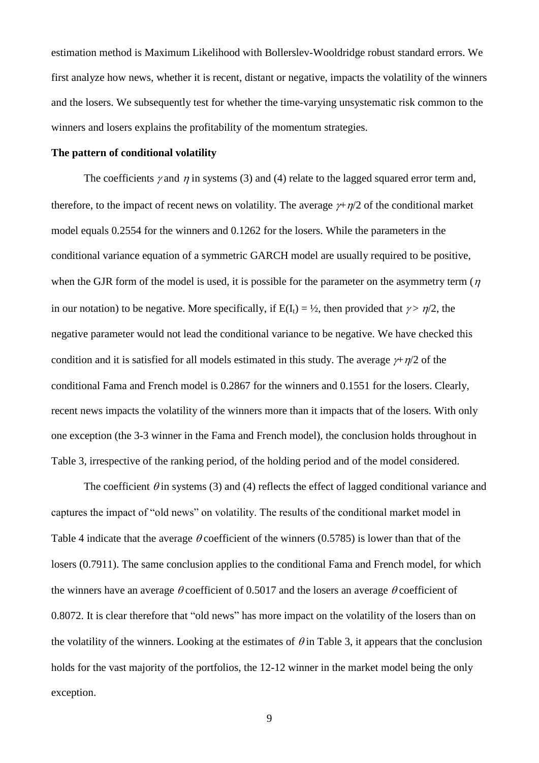estimation method is Maximum Likelihood with Bollerslev-Wooldridge robust standard errors. We first analyze how news, whether it is recent, distant or negative, impacts the volatility of the winners and the losers. We subsequently test for whether the time-varying unsystematic risk common to the winners and losers explains the profitability of the momentum strategies.

#### **The pattern of conditional volatility**

The coefficients  $\gamma$  and  $\eta$  in systems (3) and (4) relate to the lagged squared error term and, therefore, to the impact of recent news on volatility. The average  $\nu$ + $\eta$ /2 of the conditional market model equals 0.2554 for the winners and 0.1262 for the losers. While the parameters in the conditional variance equation of a symmetric GARCH model are usually required to be positive, when the GJR form of the model is used, it is possible for the parameter on the asymmetry term  $(\eta)$ in our notation) to be negative. More specifically, if  $E(I_t) = \frac{1}{2}$ , then provided that  $\gamma > \eta/2$ , the negative parameter would not lead the conditional variance to be negative. We have checked this condition and it is satisfied for all models estimated in this study. The average  $\gamma + \eta/2$  of the conditional Fama and French model is 0.2867 for the winners and 0.1551 for the losers. Clearly, recent news impacts the volatility of the winners more than it impacts that of the losers. With only one exception (the 3-3 winner in the Fama and French model), the conclusion holds throughout in Table 3, irrespective of the ranking period, of the holding period and of the model considered.

The coefficient  $\theta$  in systems (3) and (4) reflects the effect of lagged conditional variance and captures the impact of "old news" on volatility. The results of the conditional market model in Table 4 indicate that the average  $\theta$  coefficient of the winners (0.5785) is lower than that of the losers (0.7911). The same conclusion applies to the conditional Fama and French model, for which the winners have an average  $\theta$  coefficient of 0.5017 and the losers an average  $\theta$  coefficient of 0.8072. It is clear therefore that "old news" has more impact on the volatility of the losers than on the volatility of the winners. Looking at the estimates of  $\theta$  in Table 3, it appears that the conclusion holds for the vast majority of the portfolios, the 12-12 winner in the market model being the only exception.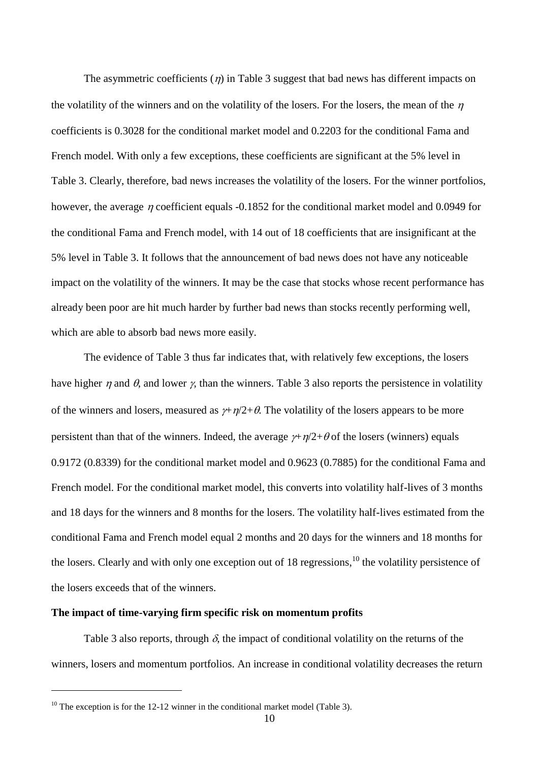The asymmetric coefficients  $(\eta)$  in Table 3 suggest that bad news has different impacts on the volatility of the winners and on the volatility of the losers. For the losers, the mean of the  $\eta$ coefficients is 0.3028 for the conditional market model and 0.2203 for the conditional Fama and French model. With only a few exceptions, these coefficients are significant at the 5% level in Table 3. Clearly, therefore, bad news increases the volatility of the losers. For the winner portfolios, however, the average  $\eta$  coefficient equals -0.1852 for the conditional market model and 0.0949 for the conditional Fama and French model, with 14 out of 18 coefficients that are insignificant at the 5% level in Table 3. It follows that the announcement of bad news does not have any noticeable impact on the volatility of the winners. It may be the case that stocks whose recent performance has already been poor are hit much harder by further bad news than stocks recently performing well, which are able to absorb bad news more easily.

The evidence of Table 3 thus far indicates that, with relatively few exceptions, the losers have higher  $\eta$  and  $\theta$ , and lower  $\gamma$ , than the winners. Table 3 also reports the persistence in volatility of the winners and losers, measured as  $\gamma + \eta/2 + \theta$ . The volatility of the losers appears to be more persistent than that of the winners. Indeed, the average  $\gamma + \eta/2 + \theta$  of the losers (winners) equals 0.9172 (0.8339) for the conditional market model and 0.9623 (0.7885) for the conditional Fama and French model. For the conditional market model, this converts into volatility half-lives of 3 months and 18 days for the winners and 8 months for the losers. The volatility half-lives estimated from the conditional Fama and French model equal 2 months and 20 days for the winners and 18 months for the losers. Clearly and with only one exception out of 18 regressions,  $10$  the volatility persistence of the losers exceeds that of the winners.

#### **The impact of time-varying firm specific risk on momentum profits**

Table 3 also reports, through  $\delta$ , the impact of conditional volatility on the returns of the winners, losers and momentum portfolios. An increase in conditional volatility decreases the return

<u>.</u>

<sup>&</sup>lt;sup>10</sup> The exception is for the 12-12 winner in the conditional market model (Table 3).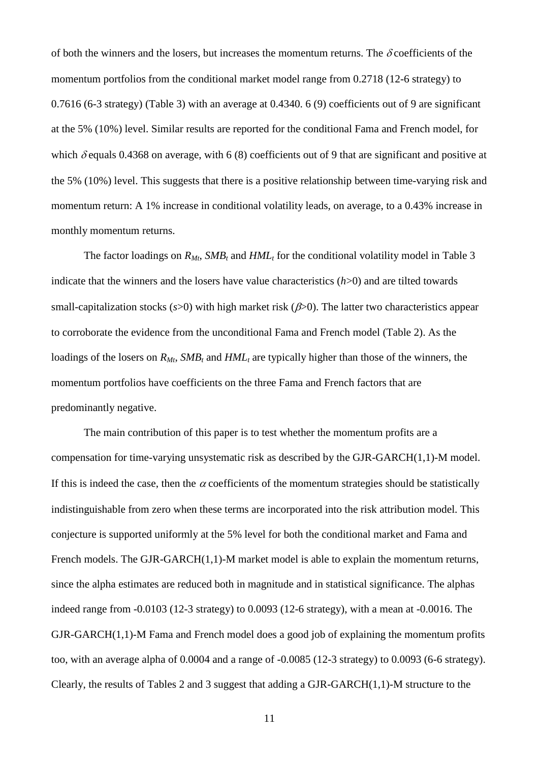of both the winners and the losers, but increases the momentum returns. The  $\delta$  coefficients of the momentum portfolios from the conditional market model range from 0.2718 (12-6 strategy) to 0.7616 (6-3 strategy) (Table 3) with an average at 0.4340. 6 (9) coefficients out of 9 are significant at the 5% (10%) level. Similar results are reported for the conditional Fama and French model, for which  $\delta$  equals 0.4368 on average, with 6 (8) coefficients out of 9 that are significant and positive at the 5% (10%) level. This suggests that there is a positive relationship between time-varying risk and momentum return: A 1% increase in conditional volatility leads, on average, to a 0.43% increase in monthly momentum returns.

The factor loadings on  $R_{Mt}$ ,  $SMB_t$  and  $HML_t$  for the conditional volatility model in Table 3 indicate that the winners and the losers have value characteristics  $(h>0)$  and are tilted towards small-capitalization stocks  $(s>0)$  with high market risk  $(\beta>0)$ . The latter two characteristics appear to corroborate the evidence from the unconditional Fama and French model (Table 2). As the loadings of the losers on  $R_{Mt}$ ,  $SMB_t$  and  $HML_t$  are typically higher than those of the winners, the momentum portfolios have coefficients on the three Fama and French factors that are predominantly negative.

The main contribution of this paper is to test whether the momentum profits are a compensation for time-varying unsystematic risk as described by the GJR-GARCH(1,1)-M model. If this is indeed the case, then the  $\alpha$  coefficients of the momentum strategies should be statistically indistinguishable from zero when these terms are incorporated into the risk attribution model. This conjecture is supported uniformly at the 5% level for both the conditional market and Fama and French models. The GJR-GARCH(1,1)-M market model is able to explain the momentum returns, since the alpha estimates are reduced both in magnitude and in statistical significance. The alphas indeed range from -0.0103 (12-3 strategy) to 0.0093 (12-6 strategy), with a mean at -0.0016. The GJR-GARCH(1,1)-M Fama and French model does a good job of explaining the momentum profits too, with an average alpha of 0.0004 and a range of -0.0085 (12-3 strategy) to 0.0093 (6-6 strategy). Clearly, the results of Tables 2 and 3 suggest that adding a GJR-GARCH(1,1)-M structure to the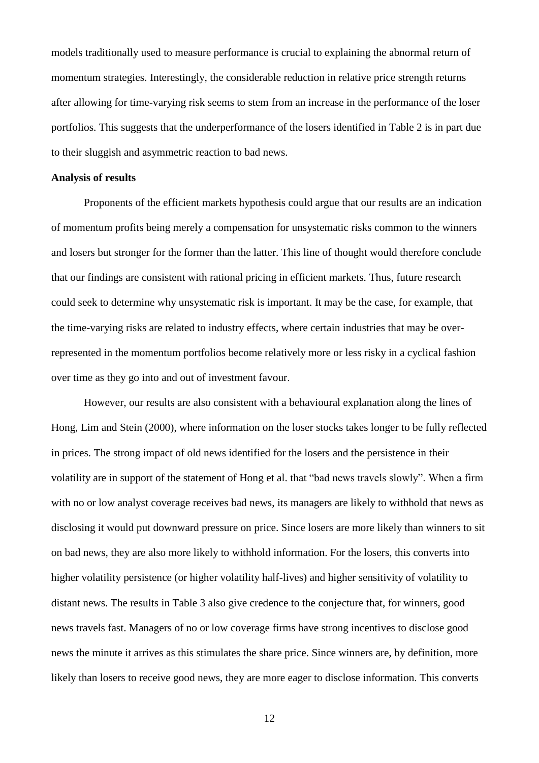models traditionally used to measure performance is crucial to explaining the abnormal return of momentum strategies. Interestingly, the considerable reduction in relative price strength returns after allowing for time-varying risk seems to stem from an increase in the performance of the loser portfolios. This suggests that the underperformance of the losers identified in Table 2 is in part due to their sluggish and asymmetric reaction to bad news.

#### **Analysis of results**

Proponents of the efficient markets hypothesis could argue that our results are an indication of momentum profits being merely a compensation for unsystematic risks common to the winners and losers but stronger for the former than the latter. This line of thought would therefore conclude that our findings are consistent with rational pricing in efficient markets. Thus, future research could seek to determine why unsystematic risk is important. It may be the case, for example, that the time-varying risks are related to industry effects, where certain industries that may be overrepresented in the momentum portfolios become relatively more or less risky in a cyclical fashion over time as they go into and out of investment favour.

However, our results are also consistent with a behavioural explanation along the lines of Hong, Lim and Stein (2000), where information on the loser stocks takes longer to be fully reflected in prices. The strong impact of old news identified for the losers and the persistence in their volatility are in support of the statement of Hong et al. that "bad news travels slowly". When a firm with no or low analyst coverage receives bad news, its managers are likely to withhold that news as disclosing it would put downward pressure on price. Since losers are more likely than winners to sit on bad news, they are also more likely to withhold information. For the losers, this converts into higher volatility persistence (or higher volatility half-lives) and higher sensitivity of volatility to distant news. The results in Table 3 also give credence to the conjecture that, for winners, good news travels fast. Managers of no or low coverage firms have strong incentives to disclose good news the minute it arrives as this stimulates the share price. Since winners are, by definition, more likely than losers to receive good news, they are more eager to disclose information. This converts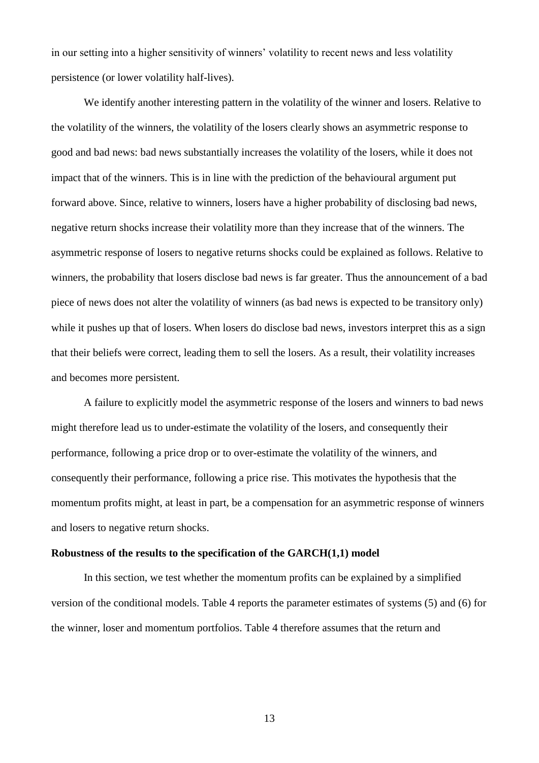in our setting into a higher sensitivity of winners' volatility to recent news and less volatility persistence (or lower volatility half-lives).

We identify another interesting pattern in the volatility of the winner and losers. Relative to the volatility of the winners, the volatility of the losers clearly shows an asymmetric response to good and bad news: bad news substantially increases the volatility of the losers, while it does not impact that of the winners. This is in line with the prediction of the behavioural argument put forward above. Since, relative to winners, losers have a higher probability of disclosing bad news, negative return shocks increase their volatility more than they increase that of the winners. The asymmetric response of losers to negative returns shocks could be explained as follows. Relative to winners, the probability that losers disclose bad news is far greater. Thus the announcement of a bad piece of news does not alter the volatility of winners (as bad news is expected to be transitory only) while it pushes up that of losers. When losers do disclose bad news, investors interpret this as a sign that their beliefs were correct, leading them to sell the losers. As a result, their volatility increases and becomes more persistent.

A failure to explicitly model the asymmetric response of the losers and winners to bad news might therefore lead us to under-estimate the volatility of the losers, and consequently their performance, following a price drop or to over-estimate the volatility of the winners, and consequently their performance, following a price rise. This motivates the hypothesis that the momentum profits might, at least in part, be a compensation for an asymmetric response of winners and losers to negative return shocks.

#### **Robustness of the results to the specification of the GARCH(1,1) model**

In this section, we test whether the momentum profits can be explained by a simplified version of the conditional models. Table 4 reports the parameter estimates of systems (5) and (6) for the winner, loser and momentum portfolios. Table 4 therefore assumes that the return and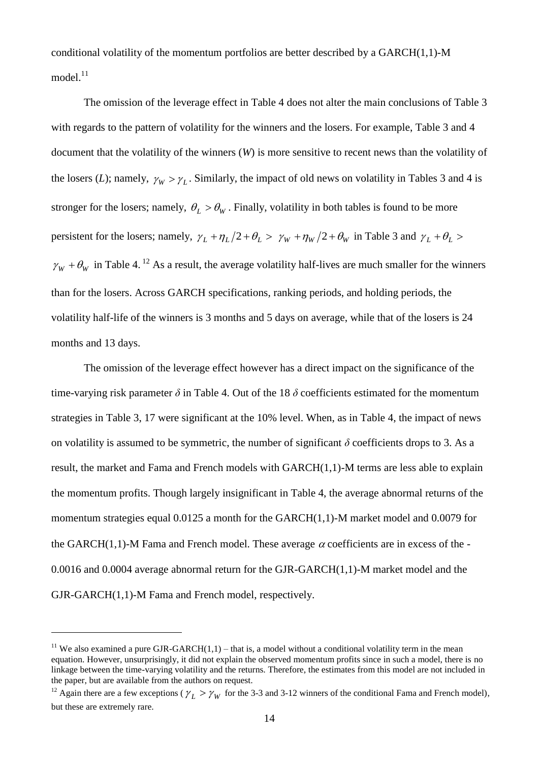conditional volatility of the momentum portfolios are better described by a GARCH(1,1)-M model $11$ 

The omission of the leverage effect in Table 4 does not alter the main conclusions of Table 3 with regards to the pattern of volatility for the winners and the losers. For example, Table 3 and 4 document that the volatility of the winners (*W*) is more sensitive to recent news than the volatility of the losers (*L*); namely,  $\gamma_W > \gamma_L$ . Similarly, the impact of old news on volatility in Tables 3 and 4 is stronger for the losers; namely,  $\theta_L > \theta_W$ . Finally, volatility in both tables is found to be more persistent for the losers; namely,  $\gamma_L + \eta_L/2 + \theta_L > \gamma_W + \eta_W/2 + \theta_W$  in Table 3 and  $\gamma_L + \theta_L >$  $\gamma_W + \theta_W$  in Table 4.<sup>12</sup> As a result, the average volatility half-lives are much smaller for the winners than for the losers. Across GARCH specifications, ranking periods, and holding periods, the volatility half-life of the winners is 3 months and 5 days on average, while that of the losers is 24 months and 13 days.

The omission of the leverage effect however has a direct impact on the significance of the time-varying risk parameter  $\delta$  in Table 4. Out of the 18  $\delta$  coefficients estimated for the momentum strategies in Table 3, 17 were significant at the 10% level. When, as in Table 4, the impact of news on volatility is assumed to be symmetric, the number of significant  $\delta$  coefficients drops to 3. As a result, the market and Fama and French models with GARCH(1,1)-M terms are less able to explain the momentum profits. Though largely insignificant in Table 4, the average abnormal returns of the momentum strategies equal 0.0125 a month for the GARCH(1,1)-M market model and 0.0079 for the GARCH $(1,1)$ -M Fama and French model. These average  $\alpha$  coefficients are in excess of the -0.0016 and 0.0004 average abnormal return for the GJR-GARCH(1,1)-M market model and the GJR-GARCH(1,1)-M Fama and French model, respectively.

<u>.</u>

<sup>&</sup>lt;sup>11</sup> We also examined a pure GJR-GARCH $(1,1)$  – that is, a model without a conditional volatility term in the mean equation. However, unsurprisingly, it did not explain the observed momentum profits since in such a model, there is no linkage between the time-varying volatility and the returns. Therefore, the estimates from this model are not included in the paper, but are available from the authors on request.

<sup>&</sup>lt;sup>12</sup> Again there are a few exceptions ( $\gamma_L > \gamma_W$  for the 3-3 and 3-12 winners of the conditional Fama and French model), but these are extremely rare.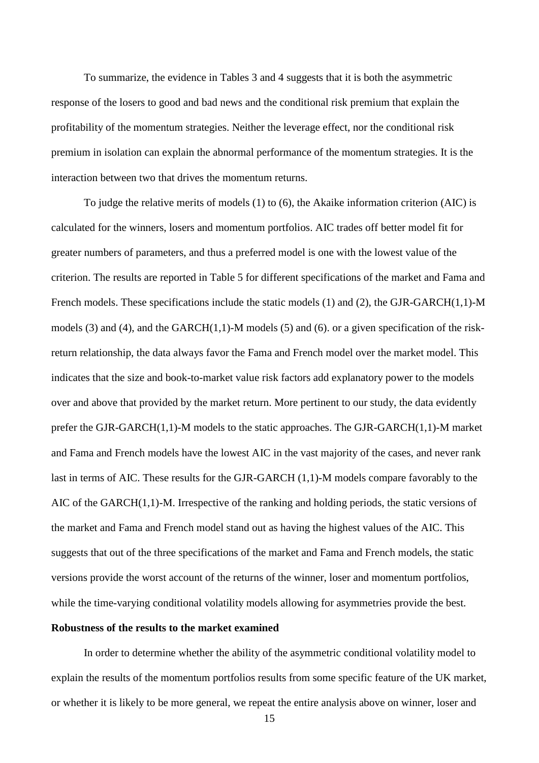To summarize, the evidence in Tables 3 and 4 suggests that it is both the asymmetric response of the losers to good and bad news and the conditional risk premium that explain the profitability of the momentum strategies. Neither the leverage effect, nor the conditional risk premium in isolation can explain the abnormal performance of the momentum strategies. It is the interaction between two that drives the momentum returns.

To judge the relative merits of models (1) to (6), the Akaike information criterion (AIC) is calculated for the winners, losers and momentum portfolios. AIC trades off better model fit for greater numbers of parameters, and thus a preferred model is one with the lowest value of the criterion. The results are reported in Table 5 for different specifications of the market and Fama and French models. These specifications include the static models (1) and (2), the GJR-GARCH(1,1)-M models (3) and (4), and the GARCH(1,1)-M models (5) and (6). or a given specification of the riskreturn relationship, the data always favor the Fama and French model over the market model. This indicates that the size and book-to-market value risk factors add explanatory power to the models over and above that provided by the market return. More pertinent to our study, the data evidently prefer the GJR-GARCH(1,1)-M models to the static approaches. The GJR-GARCH(1,1)-M market and Fama and French models have the lowest AIC in the vast majority of the cases, and never rank last in terms of AIC. These results for the GJR-GARCH (1,1)-M models compare favorably to the AIC of the GARCH(1,1)-M. Irrespective of the ranking and holding periods, the static versions of the market and Fama and French model stand out as having the highest values of the AIC. This suggests that out of the three specifications of the market and Fama and French models, the static versions provide the worst account of the returns of the winner, loser and momentum portfolios, while the time-varying conditional volatility models allowing for asymmetries provide the best.

#### **Robustness of the results to the market examined**

In order to determine whether the ability of the asymmetric conditional volatility model to explain the results of the momentum portfolios results from some specific feature of the UK market, or whether it is likely to be more general, we repeat the entire analysis above on winner, loser and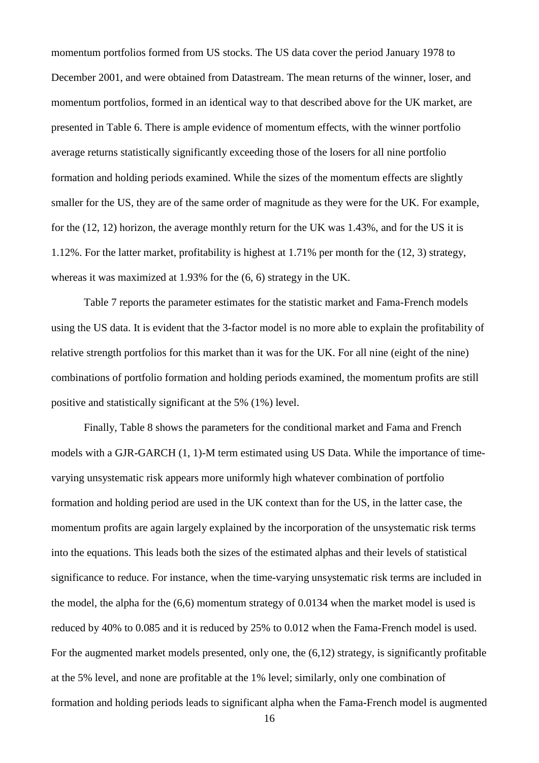momentum portfolios formed from US stocks. The US data cover the period January 1978 to December 2001, and were obtained from Datastream. The mean returns of the winner, loser, and momentum portfolios, formed in an identical way to that described above for the UK market, are presented in Table 6. There is ample evidence of momentum effects, with the winner portfolio average returns statistically significantly exceeding those of the losers for all nine portfolio formation and holding periods examined. While the sizes of the momentum effects are slightly smaller for the US, they are of the same order of magnitude as they were for the UK. For example, for the (12, 12) horizon, the average monthly return for the UK was 1.43%, and for the US it is 1.12%. For the latter market, profitability is highest at 1.71% per month for the (12, 3) strategy, whereas it was maximized at 1.93% for the (6, 6) strategy in the UK.

Table 7 reports the parameter estimates for the statistic market and Fama-French models using the US data. It is evident that the 3-factor model is no more able to explain the profitability of relative strength portfolios for this market than it was for the UK. For all nine (eight of the nine) combinations of portfolio formation and holding periods examined, the momentum profits are still positive and statistically significant at the 5% (1%) level.

Finally, Table 8 shows the parameters for the conditional market and Fama and French models with a GJR-GARCH (1, 1)-M term estimated using US Data. While the importance of timevarying unsystematic risk appears more uniformly high whatever combination of portfolio formation and holding period are used in the UK context than for the US, in the latter case, the momentum profits are again largely explained by the incorporation of the unsystematic risk terms into the equations. This leads both the sizes of the estimated alphas and their levels of statistical significance to reduce. For instance, when the time-varying unsystematic risk terms are included in the model, the alpha for the (6,6) momentum strategy of 0.0134 when the market model is used is reduced by 40% to 0.085 and it is reduced by 25% to 0.012 when the Fama-French model is used. For the augmented market models presented, only one, the (6,12) strategy, is significantly profitable at the 5% level, and none are profitable at the 1% level; similarly, only one combination of formation and holding periods leads to significant alpha when the Fama-French model is augmented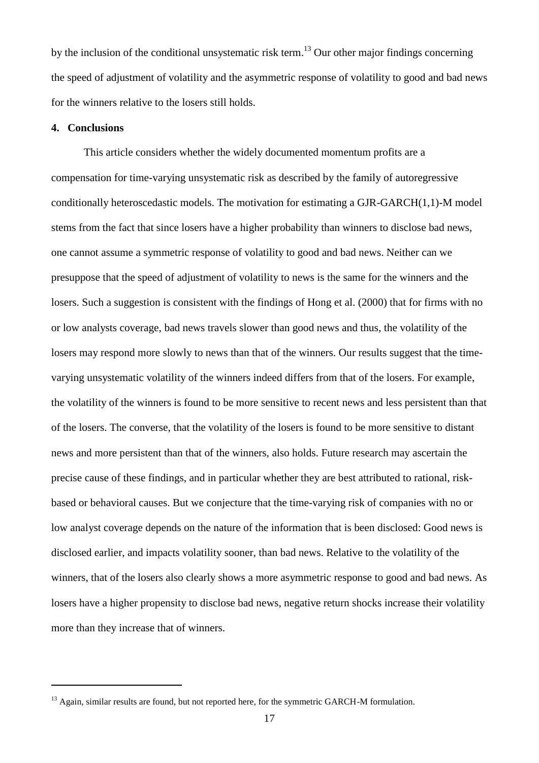by the inclusion of the conditional unsystematic risk term.<sup>13</sup> Our other major findings concerning the speed of adjustment of volatility and the asymmetric response of volatility to good and bad news for the winners relative to the losers still holds.

#### **4. Conclusions**

1

This article considers whether the widely documented momentum profits are a compensation for time-varying unsystematic risk as described by the family of autoregressive conditionally heteroscedastic models. The motivation for estimating a GJR-GARCH(1,1)-M model stems from the fact that since losers have a higher probability than winners to disclose bad news, one cannot assume a symmetric response of volatility to good and bad news. Neither can we presuppose that the speed of adjustment of volatility to news is the same for the winners and the losers. Such a suggestion is consistent with the findings of Hong et al. (2000) that for firms with no or low analysts coverage, bad news travels slower than good news and thus, the volatility of the losers may respond more slowly to news than that of the winners. Our results suggest that the timevarying unsystematic volatility of the winners indeed differs from that of the losers. For example, the volatility of the winners is found to be more sensitive to recent news and less persistent than that of the losers. The converse, that the volatility of the losers is found to be more sensitive to distant news and more persistent than that of the winners, also holds. Future research may ascertain the precise cause of these findings, and in particular whether they are best attributed to rational, riskbased or behavioral causes. But we conjecture that the time-varying risk of companies with no or low analyst coverage depends on the nature of the information that is been disclosed: Good news is disclosed earlier, and impacts volatility sooner, than bad news. Relative to the volatility of the winners, that of the losers also clearly shows a more asymmetric response to good and bad news. As losers have a higher propensity to disclose bad news, negative return shocks increase their volatility more than they increase that of winners.

<sup>&</sup>lt;sup>13</sup> Again, similar results are found, but not reported here, for the symmetric GARCH-M formulation.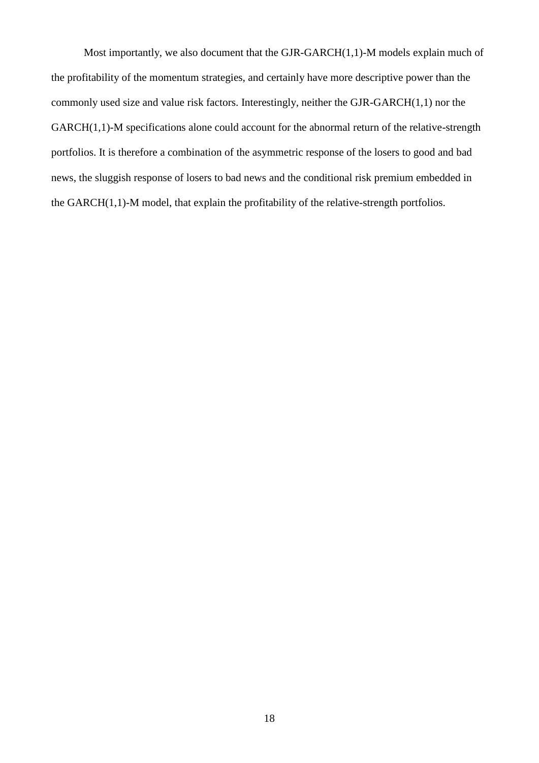Most importantly, we also document that the GJR-GARCH(1,1)-M models explain much of the profitability of the momentum strategies, and certainly have more descriptive power than the commonly used size and value risk factors. Interestingly, neither the GJR-GARCH(1,1) nor the GARCH(1,1)-M specifications alone could account for the abnormal return of the relative-strength portfolios. It is therefore a combination of the asymmetric response of the losers to good and bad news, the sluggish response of losers to bad news and the conditional risk premium embedded in the GARCH(1,1)-M model, that explain the profitability of the relative-strength portfolios.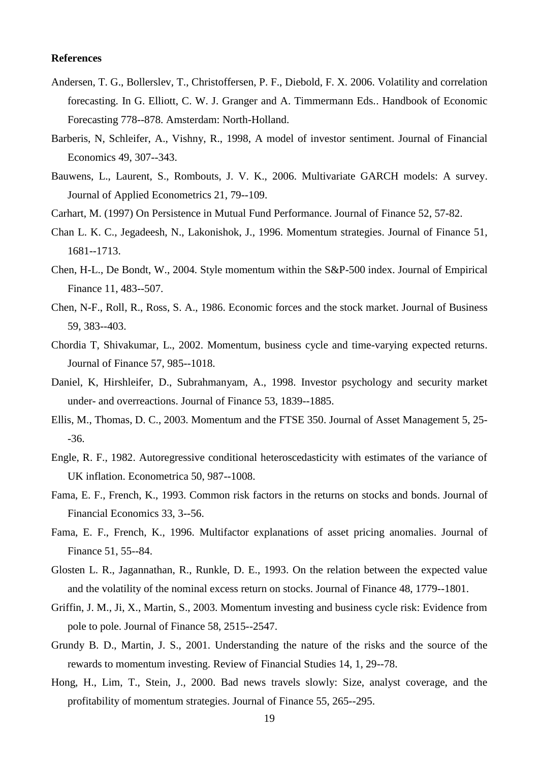#### **References**

- Andersen, T. G., Bollerslev, T., Christoffersen, P. F., Diebold, F. X. 2006. Volatility and correlation forecasting. In G. Elliott, C. W. J. Granger and A. Timmermann Eds.. Handbook of Economic Forecasting 778--878. Amsterdam: North-Holland.
- Barberis, N, Schleifer, A., Vishny, R., 1998, A model of investor sentiment. Journal of Financial Economics 49, 307--343.
- Bauwens, L., Laurent, S., Rombouts, J. V. K., 2006. Multivariate GARCH models: A survey. Journal of Applied Econometrics 21, 79--109.
- Carhart, M. (1997) On Persistence in Mutual Fund Performance. Journal of Finance 52, 57-82.
- Chan L. K. C., Jegadeesh, N., Lakonishok, J., 1996. Momentum strategies. Journal of Finance 51, 1681--1713.
- Chen, H-L., De Bondt, W., 2004. Style momentum within the S&P-500 index. Journal of Empirical Finance 11, 483--507.
- Chen, N-F., Roll, R., Ross, S. A., 1986. Economic forces and the stock market. Journal of Business 59, 383--403.
- Chordia T, Shivakumar, L., 2002. Momentum, business cycle and time-varying expected returns. Journal of Finance 57, 985--1018.
- Daniel, K, Hirshleifer, D., Subrahmanyam, A., 1998. Investor psychology and security market under- and overreactions. Journal of Finance 53, 1839--1885.
- Ellis, M., Thomas, D. C., 2003. Momentum and the FTSE 350. Journal of Asset Management 5, 25- -36.
- Engle, R. F., 1982. Autoregressive conditional heteroscedasticity with estimates of the variance of UK inflation. Econometrica 50, 987--1008.
- Fama, E. F., French, K., 1993. Common risk factors in the returns on stocks and bonds. Journal of Financial Economics 33, 3--56.
- Fama, E. F., French, K., 1996. Multifactor explanations of asset pricing anomalies. Journal of Finance 51, 55--84.
- Glosten L. R., Jagannathan, R., Runkle, D. E., 1993. On the relation between the expected value and the volatility of the nominal excess return on stocks. Journal of Finance 48, 1779--1801.
- Griffin, J. M., Ji, X., Martin, S., 2003. Momentum investing and business cycle risk: Evidence from pole to pole. Journal of Finance 58, 2515--2547.
- Grundy B. D., Martin, J. S., 2001. Understanding the nature of the risks and the source of the rewards to momentum investing. Review of Financial Studies 14, 1, 29--78.
- Hong, H., Lim, T., Stein, J., 2000. Bad news travels slowly: Size, analyst coverage, and the profitability of momentum strategies. Journal of Finance 55, 265--295.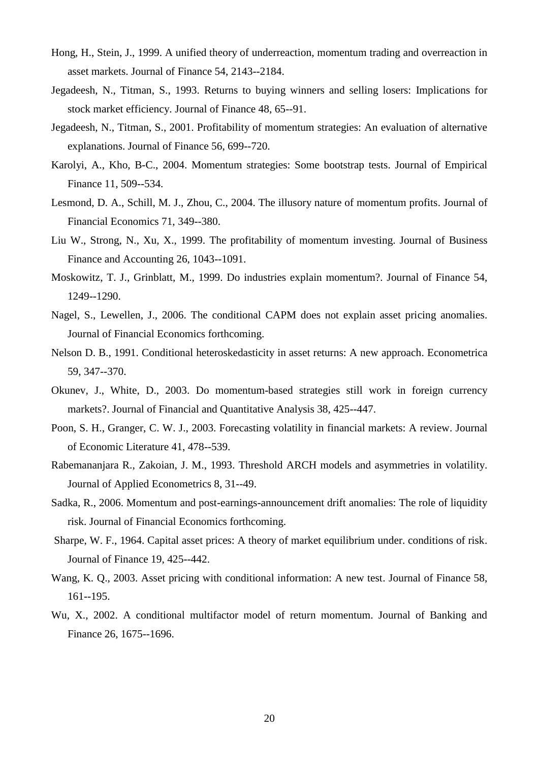- Hong, H., Stein, J., 1999. A unified theory of underreaction, momentum trading and overreaction in asset markets. Journal of Finance 54, 2143--2184.
- Jegadeesh, N., Titman, S., 1993. Returns to buying winners and selling losers: Implications for stock market efficiency. Journal of Finance 48, 65--91.
- Jegadeesh, N., Titman, S., 2001. Profitability of momentum strategies: An evaluation of alternative explanations. Journal of Finance 56, 699--720.
- Karolyi, A., Kho, B-C., 2004. Momentum strategies: Some bootstrap tests. Journal of Empirical Finance 11, 509--534.
- Lesmond, D. A., Schill, M. J., Zhou, C., 2004. The illusory nature of momentum profits. Journal of Financial Economics 71, 349--380.
- Liu W., Strong, N., Xu, X., 1999. The profitability of momentum investing. Journal of Business Finance and Accounting 26, 1043--1091.
- Moskowitz, T. J., Grinblatt, M., 1999. Do industries explain momentum?. Journal of Finance 54, 1249--1290.
- Nagel, S., Lewellen, J., 2006. The conditional CAPM does not explain asset pricing anomalies. Journal of Financial Economics forthcoming.
- Nelson D. B., 1991. Conditional heteroskedasticity in asset returns: A new approach. Econometrica 59, 347--370.
- Okunev, J., White, D., 2003. Do momentum-based strategies still work in foreign currency markets?. Journal of Financial and Quantitative Analysis 38, 425--447.
- Poon, S. H., Granger, C. W. J., 2003. Forecasting volatility in financial markets: A review. Journal of Economic Literature 41, 478--539.
- Rabemananjara R., Zakoian, J. M., 1993. Threshold ARCH models and asymmetries in volatility. Journal of Applied Econometrics 8, 31--49.
- Sadka, R., 2006. Momentum and post-earnings-announcement drift anomalies: The role of liquidity risk. Journal of Financial Economics forthcoming.
- Sharpe, W. F., 1964. Capital asset prices: A theory of market equilibrium under. conditions of risk. Journal of Finance 19, 425--442.
- Wang, K. Q., 2003. Asset pricing with conditional information: A new test. Journal of Finance 58, 161--195.
- Wu, X., 2002. A conditional multifactor model of return momentum. Journal of Banking and Finance 26, 1675--1696.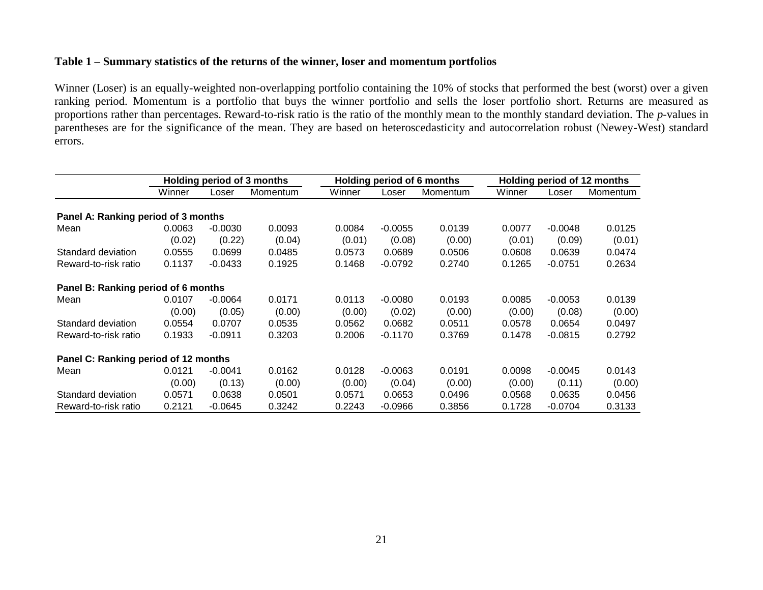#### **Table 1 – Summary statistics of the returns of the winner, loser and momentum portfolios**

Winner (Loser) is an equally-weighted non-overlapping portfolio containing the 10% of stocks that performed the best (worst) over a given ranking period. Momentum is a portfolio that buys the winner portfolio and sells the loser portfolio short. Returns are measured as proportions rather than percentages. Reward-to-risk ratio is the ratio of the monthly mean to the monthly standard deviation. The *p*-values in parentheses are for the significance of the mean. They are based on heteroscedasticity and autocorrelation robust (Newey-West) standard errors.

|                                      |        | Holding period of 3 months |          |        | Holding period of 6 months |                 |        |           | Holding period of 12 months |
|--------------------------------------|--------|----------------------------|----------|--------|----------------------------|-----------------|--------|-----------|-----------------------------|
|                                      | Winner | Loser                      | Momentum | Winner | Loser                      | <b>Momentum</b> | Winner | Loser     | Momentum                    |
|                                      |        |                            |          |        |                            |                 |        |           |                             |
| Panel A: Ranking period of 3 months  |        |                            |          |        |                            |                 |        |           |                             |
| Mean                                 | 0.0063 | $-0.0030$                  | 0.0093   | 0.0084 | $-0.0055$                  | 0.0139          | 0.0077 | $-0.0048$ | 0.0125                      |
|                                      | (0.02) | (0.22)                     | (0.04)   | (0.01) | (0.08)                     | (0.00)          | (0.01) | (0.09)    | (0.01)                      |
| Standard deviation                   | 0.0555 | 0.0699                     | 0.0485   | 0.0573 | 0.0689                     | 0.0506          | 0.0608 | 0.0639    | 0.0474                      |
| Reward-to-risk ratio                 | 0.1137 | $-0.0433$                  | 0.1925   | 0.1468 | $-0.0792$                  | 0.2740          | 0.1265 | $-0.0751$ | 0.2634                      |
| Panel B: Ranking period of 6 months  |        |                            |          |        |                            |                 |        |           |                             |
| Mean                                 | 0.0107 | $-0.0064$                  | 0.0171   | 0.0113 | $-0.0080$                  | 0.0193          | 0.0085 | $-0.0053$ | 0.0139                      |
|                                      | (0.00) | (0.05)                     | (0.00)   | (0.00) | (0.02)                     | (0.00)          | (0.00) | (0.08)    | (0.00)                      |
| Standard deviation                   | 0.0554 | 0.0707                     | 0.0535   | 0.0562 | 0.0682                     | 0.0511          | 0.0578 | 0.0654    | 0.0497                      |
| Reward-to-risk ratio                 | 0.1933 | $-0.0911$                  | 0.3203   | 0.2006 | $-0.1170$                  | 0.3769          | 0.1478 | $-0.0815$ | 0.2792                      |
| Panel C: Ranking period of 12 months |        |                            |          |        |                            |                 |        |           |                             |
| Mean                                 | 0.0121 | $-0.0041$                  | 0.0162   | 0.0128 | $-0.0063$                  | 0.0191          | 0.0098 | $-0.0045$ | 0.0143                      |
|                                      | (0.00) | (0.13)                     | (0.00)   | (0.00) | (0.04)                     | (0.00)          | (0.00) | (0.11)    | (0.00)                      |
| Standard deviation                   | 0.0571 | 0.0638                     | 0.0501   | 0.0571 | 0.0653                     | 0.0496          | 0.0568 | 0.0635    | 0.0456                      |
| Reward-to-risk ratio                 | 0.2121 | $-0.0645$                  | 0.3242   | 0.2243 | $-0.0966$                  | 0.3856          | 0.1728 | $-0.0704$ | 0.3133                      |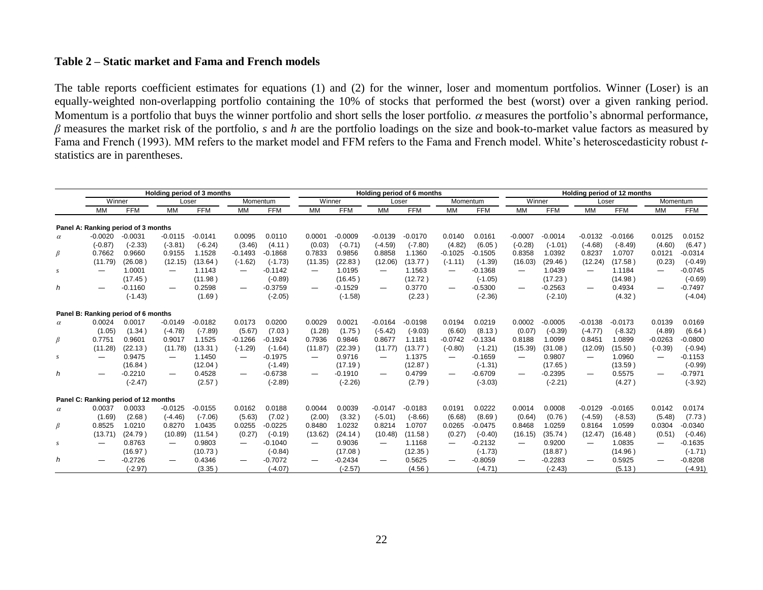#### **Table 2 – Static market and Fama and French models**

The table reports coefficient estimates for equations (1) and (2) for the winner, loser and momentum portfolios. Winner (Loser) is an equally-weighted non-overlapping portfolio containing the 10% of stocks that performed the best (worst) over a given ranking period. Momentum is a portfolio that buys the winner portfolio and short sells the loser portfolio.  $\alpha$  measures the portfolio's abnormal performance, *β* measures the market risk of the portfolio, *s* and *h* are the portfolio loadings on the size and book-to-market value factors as measured by Fama and French (1993). MM refers to the market model and FFM refers to the Fama and French model. White's heteroscedasticity robust *t*statistics are in parentheses.

|          |                                      |            | Holding period of 3 months |            |                          |            |                          |            | Holding period of 6 months |            |                          |            |                          |            | Holding period of 12 months |            |                          |            |
|----------|--------------------------------------|------------|----------------------------|------------|--------------------------|------------|--------------------------|------------|----------------------------|------------|--------------------------|------------|--------------------------|------------|-----------------------------|------------|--------------------------|------------|
|          | Winner                               |            | Loser                      |            | Momentum                 |            | Winner                   |            | Loser                      |            | Momentum                 |            | Winner                   |            |                             | Loser      | Momentum                 |            |
|          | MМ                                   | <b>FFM</b> | <b>MM</b>                  | <b>FFM</b> | <b>MM</b>                | <b>FFM</b> | <b>MM</b>                | <b>FFM</b> | <b>MM</b>                  | <b>FFM</b> | <b>MM</b>                | <b>FFM</b> | <b>MM</b>                | <b>FFM</b> | <b>MM</b>                   | <b>FFM</b> | MМ                       | <b>FFM</b> |
|          | Panel A: Ranking period of 3 months  |            |                            |            |                          |            |                          |            |                            |            |                          |            |                          |            |                             |            |                          |            |
|          | $-0.0020$                            | $-0.0031$  | $-0.0115$                  | $-0.0141$  | 0.0095                   | 0.0110     | 0.0001                   | $-0.0009$  | $-0.0139$                  | $-0.0170$  | 0.0140                   | 0.0161     | $-0.0007$                | $-0.0014$  | $-0.0132$                   | $-0.0166$  | 0.0125                   | 0.0152     |
|          | $(-0.87)$                            | $(-2.33)$  | $(-3.81)$                  | $(-6.24)$  | (3.46)                   | (4.11)     | (0.03)                   | $(-0.71)$  | $(-4.59)$                  | $(-7.80)$  | (4.82)                   | (6.05)     | $(-0.28)$                | $(-1.01)$  | $(-4.68)$                   | $(-8.49)$  | (4.60)                   | (6.47)     |
| $\beta$  | 0.7662                               | 0.9660     | 0.9155                     | 1.1528     | $-0.1493$                | $-0.1868$  | 0.7833                   | 0.9856     | 0.8858                     | 1.1360     | $-0.1025$                | $-0.1505$  | 0.8358                   | 1.0392     | 0.8237                      | 1.0707     | 0.0121                   | $-0.0314$  |
|          | (11.79)                              | (26.08)    | (12.15)                    | (13.64)    | $(-1.62)$                | $(-1.73)$  | (11.35)                  | (22.83)    | (12.06)                    | (13.77)    | $(-1.11)$                | $(-1.39)$  | (16.03)                  | (29.46)    | (12.24)                     | (17.58)    | (0.23)                   | $(-0.49)$  |
| s        |                                      | 1.0001     | —                          | 1.1143     | $\overline{\phantom{0}}$ | $-0.1142$  | $\overline{\phantom{0}}$ | 1.0195     | $\overline{\phantom{0}}$   | 1.1563     | —                        | $-0.1368$  | $\overline{\phantom{m}}$ | 1.0439     | $\overline{\phantom{m}}$    | 1.1184     | $\overline{\phantom{0}}$ | $-0.0745$  |
|          |                                      | (17.45)    |                            | (11.98)    |                          | $(-0.89)$  |                          | (16.45)    |                            | (12.72)    |                          | $(-1.05)$  |                          | (17.23)    |                             | (14.98)    |                          | $(-0.69)$  |
| h        |                                      | $-0.1160$  |                            | 0.2598     |                          | $-0.3759$  | $\overline{\phantom{0}}$ | $-0.1529$  | $\overline{\phantom{0}}$   | 0.3770     | $\overline{\phantom{0}}$ | $-0.5300$  |                          | $-0.2563$  |                             | 0.4934     |                          | $-0.7497$  |
|          |                                      | $(-1.43)$  |                            | (1.69)     |                          | $(-2.05)$  |                          | $(-1.58)$  |                            | (2.23)     |                          | $(-2.36)$  |                          | $(-2.10)$  |                             | (4.32)     |                          | $(-4.04)$  |
|          | Panel B: Ranking period of 6 months  |            |                            |            |                          |            |                          |            |                            |            |                          |            |                          |            |                             |            |                          |            |
| $\alpha$ | 0.0024                               | 0.0017     | $-0.0149$                  | $-0.0182$  | 0.0173                   | 0.0200     | 0.0029                   | 0.0021     | $-0.0164$                  | $-0.0198$  | 0.0194                   | 0.0219     | 0.0002                   | $-0.0005$  | $-0.0138$                   | $-0.0173$  | 0.0139                   | 0.0169     |
|          | (1.05)                               | (1.34)     | $(-4.78)$                  | $(-7.89)$  | (5.67)                   | (7.03)     | (1.28)                   | (1.75)     | $(-5.42)$                  | $(-9.03)$  | (6.60)                   | (8.13)     | (0.07)                   | $(-0.39)$  | $(-4.77)$                   | $(-8.32)$  | (4.89)                   | (6.64)     |
| $\beta$  | 0.7751                               | 0.9601     | 0.9017                     | 1.1525     | $-0.1266$                | $-0.1924$  | 0.7936                   | 0.9846     | 0.8677                     | 1.1181     | $-0.0742$                | $-0.1334$  | 0.8188                   | 1.0099     | 0.8451                      | 1.0899     | $-0.0263$                | $-0.0800$  |
|          | (11.28)                              | (22.13)    | (11.78)                    | (13.31)    | $(-1.29)$                | $(-1.64)$  | (11.87)                  | (22.39)    | (11.77)                    | (13.77)    | $(-0.80)$                | $(-1.21)$  | (15.39)                  | (31.08)    | (12.09)                     | (15.50)    | $(-0.39)$                | $(-0.94)$  |
| S        |                                      | 0.9475     |                            | 1.1450     |                          | $-0.1975$  | $\overline{\phantom{m}}$ | 0.9716     | $\overline{\phantom{m}}$   | 1.1375     | $\overline{\phantom{m}}$ | $-0.1659$  |                          | 0.9807     | $\overline{\phantom{m}}$    | 1.0960     |                          | $-0.1153$  |
|          |                                      | (16.84)    |                            | (12.04)    |                          | $(-1.49)$  |                          | (17.19)    |                            | (12.87)    |                          | $(-1.31)$  |                          | (17.65)    |                             | (13.59)    |                          | $(-0.99)$  |
| h        | -                                    | $-0.2210$  | —                          | 0.4528     |                          | $-0.6738$  | $\overline{\phantom{0}}$ | $-0.1910$  | $\overline{\phantom{0}}$   | 0.4799     | -                        | $-0.6709$  |                          | $-0.2395$  |                             | 0.5575     |                          | $-0.7971$  |
|          |                                      | $(-2.47)$  |                            | (2.57)     |                          | $(-2.89)$  |                          | $(-2.26)$  |                            | (2.79)     |                          | $(-3.03)$  |                          | $(-2.21)$  |                             | (4.27)     |                          | $(-3.92)$  |
|          | Panel C: Ranking period of 12 months |            |                            |            |                          |            |                          |            |                            |            |                          |            |                          |            |                             |            |                          |            |
| $\alpha$ | 0.0037                               | 0.0033     | $-0.0125$                  | $-0.0155$  | 0.0162                   | 0.0188     | 0.0044                   | 0.0039     | $-0.0147$                  | $-0.0183$  | 0.0191                   | 0.0222     | 0.0014                   | 0.0008     | $-0.0129$                   | $-0.0165$  | 0.0142                   | 0.0174     |
|          | (1.69)                               | (2.68)     | $(-4.46)$                  | $(-7.06)$  | (5.63)                   | (7.02)     | (2.00)                   | (3.32)     | $(-5.01)$                  | $(-8.66)$  | (6.68)                   | (8.69)     | (0.64)                   | (0.76)     | $(-4.59)$                   | $(-8.53)$  | (5.48)                   | (7.73)     |
| β        | 0.8525                               | 1.0210     | 0.8270                     | 1.0435     | 0.0255                   | $-0.0225$  | 0.8480                   | 1.0232     | 0.8214                     | 1.0707     | 0.0265                   | $-0.0475$  | 0.8468                   | 1.0259     | 0.8164                      | 1.0599     | 0.0304                   | $-0.0340$  |
|          | (13.71)                              | (24.79)    | (10.89)                    | (11.54)    | (0.27)                   | $(-0.19)$  | (13.62)                  | (24.14)    | (10.48)                    | (11.58)    | (0.27)                   | $(-0.40)$  | (16.15)                  | (35.74)    | (12.47)                     | (16.48)    | (0.51)                   | $(-0.46)$  |
| s        |                                      | 0.8763     | $\overline{\phantom{m}}$   | 0.9803     | $\overline{\phantom{m}}$ | $-0.1040$  |                          | 0.9036     |                            | 1.1168     |                          | $-0.2132$  |                          | 0.9200     |                             | 1.0835     | $\overline{\phantom{m}}$ | $-0.1635$  |
|          |                                      | (16.97)    |                            | (10.73)    |                          | $(-0.84)$  |                          | (17.08)    |                            | (12.35)    |                          | $(-1.73)$  |                          | (18.87)    |                             | (14.96)    |                          | $(-1.71)$  |
| h        |                                      | $-0.2726$  |                            | 0.4346     |                          | $-0.7072$  |                          | $-0.2434$  | -                          | 0.5625     |                          | $-0.8059$  |                          | $-0.2283$  |                             | 0.5925     |                          | $-0.8208$  |
|          |                                      | $(-2.97)$  |                            | (3.35)     |                          | $(-4.07)$  |                          | $(-2.57)$  |                            | (4.56)     |                          | $(-4.71)$  |                          | $(-2.43)$  |                             | (5.13)     |                          | $(-4.91)$  |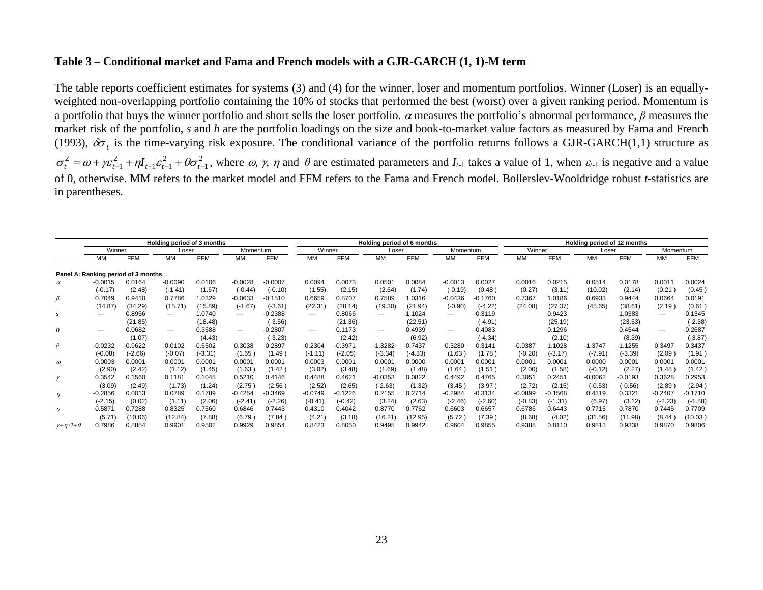#### **Table 3 – Conditional market and Fama and French models with a GJR-GARCH (1, 1)-M term**

The table reports coefficient estimates for systems (3) and (4) for the winner, loser and momentum portfolios. Winner (Loser) is an equallyweighted non-overlapping portfolio containing the 10% of stocks that performed the best (worst) over a given ranking period. Momentum is a portfolio that buys the winner portfolio and short sells the loser portfolio. measures the portfolio's abnormal performance, *β* measures the market risk of the portfolio, *s* and *h* are the portfolio loadings on the size and book-to-market value factors as measured by Fama and French (1993),  $\delta\sigma_t$  is the time-varying risk exposure. The conditional variance of the portfolio returns follows a GJR-GARCH(1,1) structure as 2 2 2 2  $\sigma_t^2 = \omega + \gamma \varepsilon_{t-1}^2 + \eta I_{t-1} \varepsilon_{t-1}^2 + \theta \sigma_{t-1}^2$ , where  $\omega, \gamma, \eta$  and  $\theta$  are estimated parameters and  $I_{t-1}$  takes a value of 1, when  $\varepsilon_{t-1}$  is negative and a value

1  $1$ <sup> $\epsilon$ </sup> $t-1$ 1 of 0, otherwise. MM refers to the market model and FFM refers to the Fama and French model. Bollerslev-Wooldridge robust *t*-statistics are in parentheses.

|                            |                                     |            | Holding period of 3 months |            |           |            |           |            | Holding period of 6 months |            |                          |            |           |            | Holding period of 12 months |            |           |            |
|----------------------------|-------------------------------------|------------|----------------------------|------------|-----------|------------|-----------|------------|----------------------------|------------|--------------------------|------------|-----------|------------|-----------------------------|------------|-----------|------------|
|                            | Winner                              |            | Loser                      |            | Momentum  |            | Winner    |            | Loser                      |            | Momentum                 |            | Winner    |            | Loser                       |            | Momentum  |            |
|                            | MМ                                  | <b>FFM</b> | <b>MM</b>                  | <b>FFM</b> | <b>MM</b> | <b>FFM</b> | <b>MM</b> | <b>FFM</b> | <b>MM</b>                  | <b>FFM</b> | MМ                       | <b>FFM</b> | <b>MM</b> | <b>FFM</b> | <b>MM</b>                   | <b>FFM</b> | <b>MM</b> | <b>FFM</b> |
|                            | Panel A: Ranking period of 3 months |            |                            |            |           |            |           |            |                            |            |                          |            |           |            |                             |            |           |            |
| $\alpha$                   | $-0.0015$                           | 0.0164     | $-0.0090$                  | 0.0106     | $-0.0028$ | $-0.0007$  | 0.0094    | 0.0073     | 0.0501                     | 0.0084     | $-0.0013$                | 0.0027     | 0.0016    | 0.0215     | 0.0514                      | 0.0178     | 0.0011    | 0.0024     |
|                            | $(-0.17)$                           | (2.48)     | $(-1.41)$                  | (1.67)     | $(-0.44)$ | $(-0.10)$  | (1.55)    | (2.15)     | (2.64)                     | (1.74)     | $(-0.19)$                | (0.48)     | (0.27)    | (3.11)     | (10.02)                     | (2.14)     | (0.21)    | (0.45)     |
| β                          | 0.7049                              | 0.9410     | 0.7786                     | 1.0329     | $-0.0633$ | $-0.1510$  | 0.6659    | 0.8707     | 0.7589                     | 1.0316     | $-0.0436$                | $-0.1760$  | 0.7367    | 1.0186     | 0.6933                      | 0.9444     | 0.0664    | 0.0191     |
|                            | (14.87)                             | (34.29)    | (15.71)                    | (15.89)    | $(-1.67)$ | $(-3.61)$  | (22.31)   | (28.14)    | (19.30)                    | (21.94)    | $(-0.90)$                | $(-4.22)$  | (24.08)   | (27.37)    | (45.65)                     | (38.61)    | (2.19)    | (0.61)     |
| $\boldsymbol{S}$           |                                     | 0.8956     |                            | 1.0740     |           | $-0.2388$  |           | 0.8066     |                            | 1.1024     | $\overline{\phantom{0}}$ | $-0.3119$  |           | 0.9423     |                             | 1.0383     |           | $-0.1345$  |
|                            |                                     | (21.85)    |                            | (18.48)    |           | $(-3.56)$  |           | (21.36)    |                            | (22.51)    |                          | $(-4.91)$  |           | (25.19)    |                             | (23.53)    |           | $(-2.38)$  |
| h                          | $\hspace{0.05cm}$                   | 0.0682     |                            | 0.3588     |           | $-0.2807$  | —         | 0.1173     | $\overline{\phantom{0}}$   | 0.4939     | —                        | -0.4083    |           | 0.1296     |                             | 0.4544     |           | $-0.2687$  |
|                            |                                     | (1.07)     |                            | (4.43)     |           | $(-3.23)$  |           | (2.42)     |                            | (6.92)     |                          | $(-4.34)$  |           | (2.10)     |                             | (8.39)     |           | $(-3.87)$  |
| $\delta$                   | $-0.0232$                           | $-0.9622$  | $-0.0102$                  | $-0.6502$  | 0.3038    | 0.2897     | $-0.2304$ | $-0.3971$  | $-1.3282$                  | $-0.7437$  | 0.3280                   | 0.3141     | $-0.0387$ | $-1.1028$  | $-1.3747$                   | $-1.1255$  | 0.3497    | 0.3437     |
|                            | $(-0.08)$                           | $(-2.66)$  | $(-0.07)$                  | $(-3.31)$  | (1.65)    | (1.49)     | $(-1.11)$ | $(-2.05)$  | $(-3.34)$                  | $(-4.33)$  | (1.63)                   | (1.78)     | $(-0.20)$ | $(-3.17)$  | $(-7.91)$                   | $(-3.39)$  | (2.09)    | (1.91)     |
| $\omega$                   | 0.0003                              | 0.0001     | 0.0001                     | 0.0001     | 0.0001    | 0.0001     | 0.0003    | 0.0001     | 0.0001                     | 0.0000     | 0.0001                   | 0.0001     | 0.0001    | 0.0001     | 0.0000                      | 0.0001     | 0.0001    | 0.0001     |
|                            | (2.90)                              | (2.42)     | (1.12)                     | (1.45)     | (1.63)    | (1.42)     | (3.02)    | (3.48)     | (1.69)                     | (1.48)     | (1.64)                   | (1.51)     | (2.00)    | (1.58)     | $(-0.12)$                   | (2.27)     | (1.48)    | (1.42)     |
| γ                          | 0.3542                              | 0.1560     | 0.1181                     | 0.1048     | 0.5210    | 0.4146     | 0.4488    | 0.4621     | $-0.0353$                  | 0.0822     | 0.4492                   | 0.4765     | 0.3051    | 0.2451     | $-0.0062$                   | $-0.0193$  | 0.3628    | 0.2953     |
|                            | (3.09)                              | (2.49)     | (1.73)                     | (1.24)     | (2.75)    | (2.56)     | (2.52)    | (2.65)     | $(-2.63)$                  | (1.32)     | (3.45)                   | (3.97)     | (2.72)    | (2.15)     | $(-0.53)$                   | $(-0.56)$  | (2.89)    | (2.94)     |
| $\eta$                     | $-0.2856$                           | 0.0013     | 0.0789                     | 0.1789     | $-0.4254$ | $-0.3469$  | $-0.0749$ | $-0.1226$  | 0.2155                     | 0.2714     | $-0.2984$                | $-0.3134$  | $-0.0899$ | $-0.1568$  | 0.4319                      | 0.3321     | $-0.2407$ | $-0.1710$  |
|                            | $(-2.15)$                           | (0.02)     | (1.11)                     | (2.06)     | $(-2.41)$ | $(-2.26)$  | $(-0.41)$ | $(-0.42)$  | (3.24)                     | (2.63)     | $(-2.46)$                | $(-2.60)$  | $(-0.83)$ | (-1.31)    | (6.97)                      | (3.12)     | $(-2.23)$ | $(-1.88)$  |
| $\theta$                   | 0.587                               | 0.7288     | 0.8325                     | 0.7560     | 0.6846    | 0.7443     | 0.4310    | 0.4042     | 0.8770                     | 0.7762     | 0.6603                   | 0.6657     | 0.6786    | 0.6443     | 0.7715                      | 0.7870     | 0.7445    | 0.7709     |
|                            | (5.71)                              | (10.06)    | (12.84)                    | (7.88)     | (6.79)    | (7.84)     | (4.21)    | (3.18)     | (16.21)                    | (12.95)    | (5.72)                   | (7.39)     | (8.68)    | (4.02)     | (31.56)                     | (11.98)    | (8.44)    | (10.03)    |
| $\gamma + \eta/2 + \theta$ | 0.7986                              | 0.8854     | 0.9901                     | 0.9502     | 0.9929    | 0.9854     | 0.8423    | 0.8050     | 0.9495                     | 0.9942     | 0.9604                   | 0.9855     | 0.9388    | 0.8110     | 0.9813                      | 0.9338     | 0.9870    | 0.9806     |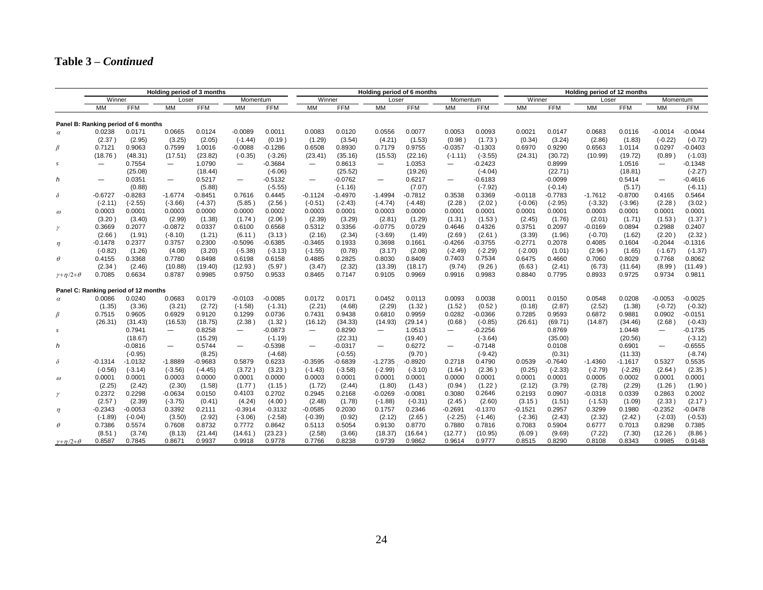#### **Table 3 –** *Continued*

|                            |                          |                                      | Holding period of 3 months |            |           |            |                          |            | Holding period of 6 months |            |                          |            |           |            | Holding period of 12 months |            |                                  |           |
|----------------------------|--------------------------|--------------------------------------|----------------------------|------------|-----------|------------|--------------------------|------------|----------------------------|------------|--------------------------|------------|-----------|------------|-----------------------------|------------|----------------------------------|-----------|
|                            | Winner                   |                                      | Loser                      |            | Momentum  |            | Winner                   |            | Loser                      |            | Momentum                 |            | Winner    |            | Loser                       |            | Momentum                         |           |
|                            | <b>MM</b>                | <b>FFM</b>                           | MM                         | <b>FFM</b> | MM        | <b>FFM</b> | МM                       | <b>FFM</b> | MM                         | <b>FFM</b> | <b>MM</b>                | <b>FFM</b> | <b>MM</b> | <b>FFM</b> | <b>MM</b>                   | <b>FFM</b> | MM                               | FFM       |
|                            |                          | Panel B: Ranking period of 6 months  |                            |            |           |            |                          |            |                            |            |                          |            |           |            |                             |            |                                  |           |
|                            | 0.0238                   | 0.0171                               | 0.0665                     | 0.0124     | $-0.0089$ | 0.0011     | 0.0083                   | 0.0120     | 0.0556                     | 0.0077     | 0.0053                   | 0.0093     | 0.0021    | 0.0147     | 0.0683                      | 0.0116     | $-0.0014$                        | $-0.0044$ |
|                            | (2.37)                   | (2.95)                               | (3.25)                     | (2.05)     | $(-1.44)$ | (0.19)     | (1.29)                   | (3.54)     | (4.21)                     | (1.53)     | (0.98)                   | (1.73)     | (0.34)    | (3.24)     | (2.86)                      | (1.83)     | $(-0.22)$                        | $(-0.72)$ |
|                            | 0.7121                   | 0.9063                               | 0.7599                     | 1.0016     | $-0.0088$ | $-0.1286$  | 0.6508                   | 0.8930     | 0.7179                     | 0.9755     | $-0.0357$                | $-0.1303$  | 0.6970    | 0.9290     | 0.6563                      | 1.0114     | 0.0297                           | $-0.0403$ |
|                            | (18.76)                  | (48.31)                              | (17.51)                    | (23.82)    | $(-0.35)$ | $(-3.26)$  | (23.41)                  | (35.16)    | (15.53)                    | (22.16)    | $(-1.11)$                | $(-3.55)$  | (24.31)   | (30.72)    | (10.99)                     | (19.72)    | (0.89)                           | $(-1.03)$ |
| S                          | $\overline{\phantom{0}}$ | 0.7554                               |                            | 1.0790     |           | $-0.3684$  |                          | 0.8613     | $\overline{\phantom{0}}$   | 1.0353     | $\overline{\phantom{0}}$ | $-0.2423$  |           | 0.8999     |                             | 1.0516     | $\overline{\phantom{0}}$         | $-0.1348$ |
|                            |                          | (25.08)                              |                            | (18.44)    |           | $(-6.06)$  |                          | (25.52)    |                            | (19.26)    |                          | $(-4.04)$  |           | (22.71)    |                             | (18.81)    |                                  | $(-2.27)$ |
| h                          |                          | 0.0351                               |                            | 0.5217     |           | $-0.5132$  | —                        | $-0.0762$  |                            | 0.6217     |                          | $-0.6183$  |           | $-0.0099$  |                             | 0.5414     |                                  | $-0.4616$ |
|                            |                          | (0.88)                               |                            | (5.88)     |           | $(-5.55)$  |                          | $(-1.16)$  |                            | (7.07)     |                          | $(-7.92)$  |           | $(-0.14)$  |                             | (5.17)     |                                  | $(-6.11)$ |
| δ                          | $-0.6727$                | $-0.8283$                            | $-1.6774$                  | $-0.8451$  | 0.7616    | 0.4445     | $-0.1124$                | $-0.4970$  | -1.4994                    | -0.7812    | 0.3538                   | 0.3369     | $-0.0118$ | $-0.7783$  | $-1.7612$                   | $-0.8700$  | 0.4165                           | 0.5464    |
|                            | $(-2.11)$                | $(-2.55)$                            | $(-3.66)$                  | $(-4.37)$  | (5.85)    | (2.56)     | $(-0.51)$                | $(-2.43)$  | $(-4.74)$                  | $(-4.48)$  | (2.28)                   | (2.02)     | $(-0.06)$ | $(-2.95)$  | $(-3.32)$                   | $(-3.96)$  | (2.28)                           | (3.02)    |
| $\omega$                   | 0.0003                   | 0.0001                               | 0.0003                     | 0.0000     | 0.0000    | 0.0002     | 0.0003                   | 0.0001     | 0.0003                     | 0.0000     | 0.0001                   | 0.0001     | 0.0001    | 0.0001     | 0.0003                      | 0.0001     | 0.0001                           | 0.0001    |
|                            | (3.20)                   | (3.40)                               | (2.99)                     | (1.38)     | (1.74)    | (2.06)     | (2.39)                   | (3.29)     | (2.81)                     | (1.29)     | (1.31)                   | (1.53)     | (2.45)    | (1.76)     | (2.01)                      | (1.71)     | (1.53)                           | (1.37)    |
| γ                          | 0.3669                   | 0.2077                               | $-0.0872$                  | 0.0337     | 0.6100    | 0.6568     | 0.5312                   | 0.3356     | $-0.0775$                  | 0.0729     | 0.4646                   | 0.4326     | 0.3751    | 0.2097     | $-0.0169$                   | 0.0894     | 0.2988                           | 0.2407    |
|                            | (2.66)                   | (1.91)                               | $(-8.10)$                  | (1.21)     | (6.11)    | (3.13)     | (2.16)                   | (2.34)     | $(-3.69)$                  | (1.49)     | (2.69)                   | (2.61)     | (3.39)    | (1.96)     | $(-0.70)$                   | (1.62)     | (2.20)                           | (2.32)    |
| $\eta$                     | $-0.1478$                | 0.2377                               | 0.3757                     | 0.2300     | $-0.5096$ | $-0.6385$  | $-0.3465$                | 0.1933     | 0.3698                     | 0.1661     | $-0.4266$                | $-0.3755$  | $-0.2771$ | 0.2078     | 0.4085                      | 0.1604     | $-0.2044$                        | $-0.1316$ |
|                            | $(-0.82)$                | (1.26)                               | (4.08)                     | (3.20)     | $(-5.38)$ | $(-3.13)$  | $(-1.55)$                | (0.78)     | (3.17)                     | (2.08)     | $(-2.49)$                | $(-2.29)$  | $(-2.00)$ | (1.01)     | (2.96)                      | (1.65)     | $(-1.67)$                        | $(-1.37)$ |
| $\theta$                   | 0.4155                   | 0.3368                               | 0.7780                     | 0.8498     | 0.6198    | 0.6158     | 0.4885                   | 0.2825     | 0.8030                     | 0.8409     | 0.7403                   | 0.7534     | 0.6475    | 0.4660     | 0.7060                      | 0.8029     | 0.7768                           | 0.8062    |
|                            | (2.34)                   | (2.46)                               | (10.88)                    | (19.40)    | (12.93)   | (5.97)     | (3.47)                   | (2.32)     | (13.39)                    | (18.17)    | (9.74)                   | (9.26)     | (6.63)    | (2.41)     | (6.73)                      | (11.64)    | (8.99)                           | (11.49)   |
| $\gamma + \eta/2 + \theta$ | 0.7085                   | 0.6634                               | 0.8787                     | 0.9985     | 0.9750    | 0.9533     | 0.8465                   | 0.7147     | 0.9105                     | 0.9969     | 0.9916                   | 0.9983     | 0.8840    | 0.7795     | 0.8933                      | 0.9725     | 0.9734                           | 0.9811    |
|                            |                          | Panel C: Ranking period of 12 months |                            |            |           |            |                          |            |                            |            |                          |            |           |            |                             |            |                                  |           |
| $\alpha$                   | 0.0086                   | 0.0240                               | 0.0683                     | 0.0179     | $-0.0103$ | $-0.0085$  | 0.0172                   | 0.0171     | 0.0452                     | 0.0113     | 0.0093                   | 0.0038     | 0.0011    | 0.0150     | 0.0548                      | 0.0208     | $-0.0053$                        | $-0.0025$ |
|                            | (1.35)                   | (3.36)                               | (3.21)                     | (2.72)     | $(-1.58)$ | $(-1.31)$  | (2.21)                   | (4.68)     | (2.29)                     | (1.32)     | (1.52)                   | (0.52)     | (0.18)    | (2.87)     | (2.52)                      | (1.38)     | $(-0.72)$                        | $(-0.32)$ |
| β                          | 0.7515                   | 0.9605                               | 0.6929                     | 0.9120     | 0.1299    | 0.0736     | 0.7431                   | 0.9438     | 0.6810                     | 0.9959     | 0.0282                   | $-0.0366$  | 0.7285    | 0.9593     | 0.6872                      | 0.9881     | 0.0902                           | $-0.0151$ |
|                            | (26.31)                  | (31.43)                              | (16.53)                    | (18.75)    | (2.38)    | (1.32)     | (16.12)                  | (34.33)    | (14.93)                    | (29.14)    | (0.68)                   | $(-0.85)$  | (26.61)   | (69.71)    | (14.87)                     | (34.46)    | (2.68)                           | $(-0.43)$ |
| S                          |                          | 0.7941                               | $\overline{\phantom{0}}$   | 0.8258     |           | $-0.0873$  | $\overline{\phantom{m}}$ | 0.8290     | $\overline{\phantom{0}}$   | 1.0513     |                          | $-0.2256$  |           | 0.8769     |                             | 1.0448     | $\overbrace{\phantom{12322111}}$ | $-0.1735$ |
|                            |                          | (18.67)                              |                            | (15.29)    |           | $(-1.19)$  |                          | (22.31)    |                            | (19.40)    |                          | $(-3.64)$  |           | (35.00)    |                             | (20.56)    |                                  | $(-3.12)$ |
| h                          |                          | $-0.0816$                            | $\overline{\phantom{0}}$   | 0.5744     |           | $-0.5398$  | —                        | $-0.0317$  | $\overline{\phantom{0}}$   | 0.6272     |                          | $-0.7148$  |           | 0.0108     |                             | 0.6901     |                                  | $-0.6555$ |
|                            |                          | $(-0.95)$                            |                            | (8.25)     |           | $(-4.68)$  |                          | $(-0.55)$  |                            | (9.70)     |                          | $(-9.42)$  |           | (0.31)     |                             | (11.33)    |                                  | $(-8.74)$ |
| δ                          | $-0.1314$                | $-1.0132$                            | $-1.8889$                  | $-0.9683$  | 0.5879    | 0.6233     | $-0.3595$                | $-0.6839$  | -1.2735                    | $-0.8920$  | 0.2718                   | 0.4790     | 0.0539    | -0.7640    | $-1.4360$                   | $-1.1617$  | 0.5327                           | 0.5535    |
|                            | $(-0.56)$                | $(-3.14)$                            | $(-3.56)$                  | $(-4.45)$  | (3.72)    | (3.23)     | $(-1.43)$                | $(-3.58)$  | $(-2.99)$                  | $(-3.10)$  | (1.64)                   | (2.36)     | (0.25)    | $(-2.33)$  | $(-2.79)$                   | $(-2.26)$  | (2.64)                           | (2.35)    |
| $\omega$                   | 0.0001                   | 0.0001                               | 0.0003                     | 0.0000     | 0.0001    | 0.0000     | 0.0003                   | 0.0001     | 0.0001                     | 0.0001     | 0.0000                   | 0.0001     | 0.0001    | 0.0001     | 0.0005                      | 0.0002     | 0.0001                           | 0.0001    |
|                            | (2.25)                   | (2.42)                               | (2.30)                     | (1.58)     | (1.77)    | (1.15)     | (1.72)                   | (2.44)     | (1.80)                     | (1.43)     | (0.94)                   | (1.22)     | (2.12)    | (3.79)     | (2.78)                      | (2.29)     | (1.26)                           | (1.90)    |
| γ                          | 0.2372                   | 0.2298                               | $-0.0634$                  | 0.0150     | 0.4103    | 0.2702     | 0.2945                   | 0.2168     | $-0.0269$                  | $-0.0081$  | 0.3080                   | 0.2646     | 0.2193    | 0.0907     | $-0.0318$                   | 0.0339     | 0.2863                           | 0.2002    |
|                            | (2.57)                   | (2.39)                               | $(-3.75)$                  | (0.41)     | (4.24)    | (4.00)     | (2.48)                   | (1.78)     | $(-1.88)$                  | $(-0.31)$  | (2.45)                   | (2.60)     | (3.15)    | (1.51)     | $(-1.53)$                   | (1.09)     | (2.33)                           | (2.17)    |
| $\eta$                     | $-0.2343$                | $-0.0053$                            | 0.3392                     | 0.2111     | $-0.3914$ | $-0.3132$  | $-0.0585$                | 0.2030     | 0.1757                     | 0.2346     | $-0.2691$                | $-0.1370$  | $-0.1521$ | 0.2957     | 0.3299                      | 0.1980     | $-0.2352$                        | $-0.0478$ |
|                            | $(-1.89)$                | $(-0.04)$                            | (3.50)                     | (2.92)     | $(-3.06)$ | $(-2.58)$  | $(-0.39)$                | (0.92)     | (2.12)                     | (2.65)     | $(-2.25)$                | $(-1.46)$  | $(-2.36)$ | (2.43)     | (2.32)                      | (2.42)     | $(-2.03)$                        | $(-0.53)$ |
| $\theta$                   | 0.7386                   | 0.5574                               | 0.7608                     | 0.8732     | 0.7772    | 0.8642     | 0.5113                   | 0.5054     | 0.9130                     | 0.8770     | 0.7880                   | 0.7816     | 0.7083    | 0.5904     | 0.6777                      | 0.7013     | 0.8298                           | 0.7385    |
|                            | (8.51)                   | (3.74)                               | (8.13)                     | (21.44)    | (14.61)   | (23.23)    | (2.58)                   | (3.66)     | (18.37)                    | (16.64)    | (12.77)                  | (10.95)    | (6.09)    | (9.69)     | (7.22)                      | (7.30)     | (12.26)                          | (8.86)    |
| $\gamma + \eta/2 + \theta$ | 0.8587                   | 0.7845                               | 0.8671                     | 0.9937     | 0.9918    | 0.9778     | 0.7766                   | 0.8238     | 0.9739                     | 0.9862     | 0.9614                   | 0.9777     | 0.8515    | 0.8290     | 0.8108                      | 0.8343     | 0.9985                           | 0.9148    |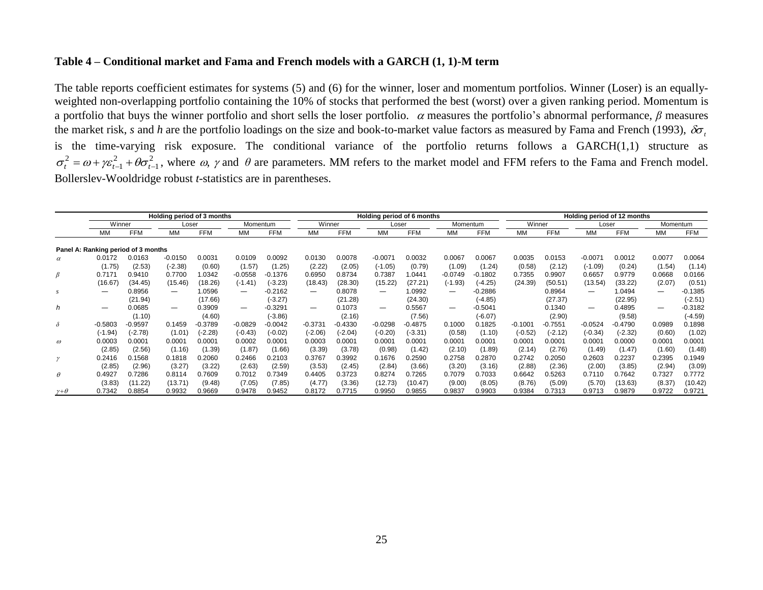#### **Table 4 – Conditional market and Fama and French models with a GARCH (1, 1)-M term**

The table reports coefficient estimates for systems (5) and (6) for the winner, loser and momentum portfolios. Winner (Loser) is an equallyweighted non-overlapping portfolio containing the 10% of stocks that performed the best (worst) over a given ranking period. Momentum is a portfolio that buys the winner portfolio and short sells the loser portfolio. measures the portfolio's abnormal performance, *β* measures the market risk, *s* and *h* are the portfolio loadings on the size and book-to-market value factors as measured by Fama and French (1993),  $\delta\sigma_t$ is the time-varying risk exposure. The conditional variance of the portfolio returns follows a GARCH(1,1) structure as 2 1 2 1 2  $\sigma_t^2 = \omega + \gamma \varepsilon_{t-1}^2 + \theta \sigma_{t-1}^2$ , where  $\omega$ ,  $\gamma$  and  $\theta$  are parameters. MM refers to the market model and FFM refers to the Fama and French model. Bollerslev-Wooldridge robust *t*-statistics are in parentheses.

|                |                                     |            | Holding period of 3 months |            |                 |            |           |            | Holding period of 6 months |           |                          |            |           |            | Holding period of 12 months |            |                          |            |
|----------------|-------------------------------------|------------|----------------------------|------------|-----------------|------------|-----------|------------|----------------------------|-----------|--------------------------|------------|-----------|------------|-----------------------------|------------|--------------------------|------------|
|                | Winner                              |            | Loser                      |            | Momentum        |            | Winner    |            | Loser                      |           | Momentum                 |            | Winner    |            | Loser                       |            | Momentum                 |            |
|                | <b>MM</b>                           | <b>FFM</b> | <b>MM</b>                  | <b>FFM</b> | <b>MM</b>       | <b>FFM</b> | MM        | <b>FFM</b> | MМ                         | FFM       | <b>MM</b>                | <b>FFM</b> | <b>MM</b> | <b>FFM</b> | <b>MM</b>                   | <b>FFM</b> | <b>MM</b>                | <b>FFM</b> |
|                | Panel A: Ranking period of 3 months |            |                            |            |                 |            |           |            |                            |           |                          |            |           |            |                             |            |                          |            |
| $\alpha$       | 0.0172                              | 0.0163     | $-0.0150$                  | 0.0031     | 0.0109          | 0.0092     | 0.0130    | 0.0078     | $-0.007'$                  | 0.0032    | 0.0067                   | 0.0067     | 0.0035    | 0.0153     | $-0.0071$                   | 0.0012     | 0.0077                   | 0.0064     |
|                | (1.75)                              | (2.53)     | $(-2.38)$                  | (0.60)     | (1.57)          | (1.25)     | (2.22)    | (2.05)     | $(-1.05)$                  | (0.79)    | (1.09)                   | (1.24)     | (0.58)    | (2.12)     | $(-1.09)$                   | (0.24)     | (1.54)                   | (1.14)     |
| β              | 0.7171                              | 0.9410     | 0.7700                     | 0.0342     | $-0.0558$       | $-0.1376$  | 0.6950    | 0.8734     | 0.7387                     | 0441. ا   | $-0.0749$                | -0.1802    | 0.7355    | 0.9907     | 0.6657                      | 0.9779     | 0.0668                   | 0.0166     |
|                | (16.67)                             | (34.45)    | (15.46)                    | (18.26)    | $(-1.41)$       | $(-3.23)$  | (18.43)   | (28.30)    | (15.22)                    | (27.21)   | $(-1.93)$                | $(-4.25)$  | (24.39)   | (50.51)    | (13.54)                     | (33.22)    | (2.07)                   | (0.51)     |
| S              | —                                   | 0.8956     |                            | .0596      | $\qquad \qquad$ | $-0.2162$  | —         | 0.8078     |                            | 1.0992    | $\overline{\phantom{0}}$ | $-0.2886$  |           | 0.8964     |                             | .0494      | $\overline{\phantom{0}}$ | $-0.1385$  |
|                |                                     | (21.94)    |                            | (17.66)    |                 | $(-3.27)$  |           | (21.28)    |                            | (24.30)   |                          | $(-4.85)$  |           | (27.37)    |                             | (22.95)    |                          | (-2.51)    |
| h              |                                     | 0.0685     |                            | 0.3909     |                 | $-0.3291$  |           | 0.1073     |                            | 0.5567    |                          | $-0.5041$  |           | 0.1340     |                             | 0.4895     |                          | $-0.3182$  |
|                |                                     | (1.10)     |                            | (4.60)     |                 | $(-3.86)$  |           | (2.16)     |                            | (7.56)    |                          | $(-6.07)$  |           | (2.90)     |                             | (9.58)     |                          | (-4.59)    |
| $\delta$       | $-0.5803$                           | $-0.9597$  | 0.1459                     | $-0.3789$  | $-0.0829$       | $-0.0042$  | $-0.3731$ | $-0.4330$  | $-0.0298$                  | $-0.4875$ | 0.1000                   | 0.1825     | $-0.1001$ | $-0.7551$  | $-0.0524$                   | $-0.4790$  | 0.0989                   | 0.1898     |
|                | $(-1.94)$                           | $(-2.78)$  | (1.01)                     | $(-2.28)$  | $(-0.43)$       | $(-0.02)$  | $(-2.06)$ | (-2.04)    | $(-0.20)$                  | $(-3.31)$ | (0.58)                   | (1.10)     | $(-0.52)$ | $(-2.12)$  | $(-0.34)$                   | $(-2.32)$  | (0.60)                   | (1.02)     |
| $\omega$       | 0.0003                              | 0.0001     | 0.0001                     | 0.0001     | 0.0002          | 0.0001     | 0.0003    | 0.0001     | 0.0001                     | 0.0001    | 0.0001                   | 0.0001     | 0.0001    | 0.0001     | 0.0001                      | 0.0000     | 0.0001                   | 0.0001     |
|                | (2.85)                              | (2.56)     | (1.16)                     | (1.39)     | (1.87)          | (1.66)     | (3.39)    | (3.78)     | (0.98)                     | (1.42)    | (2.10)                   | (1.89)     | (2.14)    | (2.76)     | (1.49)                      | (1.47)     | (1.60)                   | (1.48)     |
| $\gamma$       | 0.2416                              | 0.1568     | 0.1818                     | 0.2060     | 0.2466          | 0.2103     | 0.3767    | 0.3992     | 0.1676                     | 0.2590    | 0.2758                   | 0.2870     | 0.2742    | 0.2050     | 0.2603                      | 0.2237     | 0.2395                   | 0.1949     |
|                | (2.85)                              | (2.96)     | (3.27)                     | (3.22)     | (2.63)          | (2.59)     | (3.53)    | (2.45)     | (2.84)                     | (3.66)    | (3.20)                   | (3.16)     | (2.88)    | (2.36)     | (2.00)                      | (3.85)     | (2.94)                   | (3.09)     |
| $\theta$       | 0.4927                              | 0.7286     | 0.8114                     | 0.7609     | 0.7012          | 0.7349     | 0.4405    | 0.3723     | 0.8274                     | 0.7265    | 0.7079                   | 0.7033     | 0.6642    | 0.5263     | 0.7110                      | 0.7642     | 0.7327                   | 0.7772     |
|                | (3.83)                              | (11.22)    | (13.71)                    | (9.48)     | (7.05)          | (7.85)     | (4.77)    | (3.36)     | (12.73)                    | (10.47)   | (9.00)                   | (8.05)     | (8.76)    | (5.09)     | (5.70)                      | (13.63)    | (8.37)                   | (10.42)    |
| $\nu + \theta$ | 0.7342                              | 0.8854     | 0.9932                     | 0.9669     | 0.9478          | 0.9452     | 0.8172    | 0.7715     | 0.9950                     | 0.9855    | 0.9837                   | 0.9903     | 0.9384    | 0.7313     | 0.9713                      | 0.9879     | 0.9722                   | 0.9721     |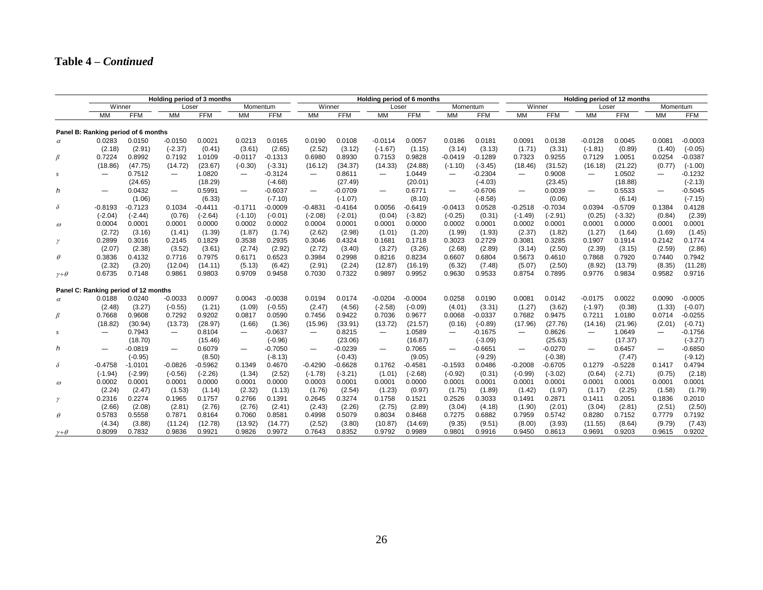#### **Table 4 –** *Continued*

|                   |                                      |            | Holding period of 3 months |            |                                 |            |                                 |            | Holding period of 6 months      |            |                          |            |                                 |            | Holding period of 12 months     |            |                          |            |
|-------------------|--------------------------------------|------------|----------------------------|------------|---------------------------------|------------|---------------------------------|------------|---------------------------------|------------|--------------------------|------------|---------------------------------|------------|---------------------------------|------------|--------------------------|------------|
|                   | Winner                               |            | Loser                      |            | Momentum                        |            | Winner                          |            | Loser                           |            | Momentum                 |            | Winner                          |            | Loser                           |            | Momentum                 |            |
|                   | MM                                   | <b>FFM</b> | <b>MM</b>                  | <b>FFM</b> | <b>MM</b>                       | <b>FFM</b> | <b>MM</b>                       | <b>FFM</b> | <b>MM</b>                       | <b>FFM</b> | <b>MM</b>                | <b>FFM</b> | <b>MM</b>                       | <b>FFM</b> | <b>MM</b>                       | <b>FFM</b> | <b>MM</b>                | <b>FFM</b> |
|                   | Panel B: Ranking period of 6 months  |            |                            |            |                                 |            |                                 |            |                                 |            |                          |            |                                 |            |                                 |            |                          |            |
| $\alpha$          | 0.0283                               | 0.0150     | $-0.0150$                  | 0.0021     | 0.0213                          | 0.0165     | 0.0190                          | 0.0108     | $-0.0114$                       | 0.0057     | 0.0186                   | 0.0181     | 0.0091                          | 0.0138     | $-0.0128$                       | 0.0045     | 0.0081                   | $-0.0003$  |
|                   | (2.18)                               | (2.91)     | $(-2.37)$                  | (0.41)     | (3.61)                          | (2.65)     | (2.52)                          | (3.12)     | $(-1.67)$                       | (1.15)     | (3.14)                   | (3.13)     | (1.71)                          | (3.31)     | $(-1.81)$                       | (0.89)     | (1.40)                   | $(-0.05)$  |
| $\beta$           | 0.7224                               | 0.8992     | 0.7192                     | 1.0109     | $-0.0117$                       | $-0.1313$  | 0.6980                          | 0.8930     | 0.7153                          | 0.9828     | $-0.0419$                | $-0.1289$  | 0.7323                          | 0.9255     | 0.7129                          | 1.0051     | 0.0254                   | $-0.0387$  |
|                   | (18.86)                              | (47.75)    | (14.72)                    | (23.67)    | $(-0.30)$                       | $(-3.31)$  | (16.12)                         | (34.37)    | (14.33)                         | (24.88)    | $(-1.10)$                | $(-3.45)$  | (18.46)                         | (31.52)    | (16.18)                         | (21.22)    | (0.77)                   | $(-1.00)$  |
| $\boldsymbol{s}$  | —                                    | 0.7512     | $\hspace{0.05cm}$          | 1.0820     | $\hspace{0.05cm}$               | $-0.3124$  | $\hspace{0.1mm}-\hspace{0.1mm}$ | 0.8611     | $\hspace{0.1mm}-\hspace{0.1mm}$ | 1.0449     | $\overline{\phantom{m}}$ | $-0.2304$  | $\overline{\phantom{m}}$        | 0.9008     | $\overline{\phantom{m}}$        | 1.0502     | —                        | $-0.1232$  |
|                   |                                      | (24.65)    |                            | (18.29)    |                                 | $(-4.68)$  |                                 | (27.49)    |                                 | (20.01)    |                          | $(-4.03)$  |                                 | (23.45)    |                                 | (18.88)    |                          | $(-2.13)$  |
| h                 |                                      | 0.0432     | $\overline{\phantom{0}}$   | 0.5991     | $\hspace{0.1mm}-\hspace{0.1mm}$ | $-0.6037$  |                                 | $-0.0709$  | $\qquad \qquad$                 | 0.6771     | $\overline{\phantom{0}}$ | $-0.6706$  | $\hspace{0.1mm}-\hspace{0.1mm}$ | 0.0039     |                                 | 0.5533     |                          | $-0.5045$  |
|                   |                                      | (1.06)     |                            | (6.33)     |                                 | $(-7.10)$  |                                 | $(-1.07)$  |                                 | (8.10)     |                          | $(-8.58)$  |                                 | (0.06)     |                                 | (6.14)     |                          | $(-7.15)$  |
| $\delta$          | $-0.8193$                            | $-0.7123$  | 0.1034                     | $-0.4411$  | $-0.1711$                       | $-0.0009$  | $-0.4831$                       | $-0.4164$  | 0.0056                          | $-0.6419$  | $-0.0413$                | 0.0528     | $-0.2518$                       | $-0.7034$  | 0.0394                          | $-0.5709$  | 0.1384                   | 0.4128     |
|                   | $(-2.04)$                            | $(-2.44)$  | (0.76)                     | $(-2.64)$  | $(-1.10)$                       | $(-0.01)$  | $(-2.08)$                       | $(-2.01)$  | (0.04)                          | $(-3.82)$  | $(-0.25)$                | (0.31)     | $(-1.49)$                       | $(-2.91)$  | (0.25)                          | $(-3.32)$  | (0.84)                   | (2.39)     |
| $\omega$          | 0.0004                               | 0.0001     | 0.0001                     | 0.0000     | 0.0002                          | 0.0002     | 0.0004                          | 0.0001     | 0.0001                          | 0.0000     | 0.0002                   | 0.0001     | 0.0002                          | 0.0001     | 0.0001                          | 0.0000     | 0.0001                   | 0.0001     |
|                   | (2.72)                               | (3.16)     | (1.41)                     | (1.39)     | (1.87)                          | (1.74)     | (2.62)                          | (2.98)     | (1.01)                          | (1.20)     | (1.99)                   | (1.93)     | (2.37)                          | (1.82)     | (1.27)                          | (1.64)     | (1.69)                   | (1.45)     |
| $\gamma$          | 0.2899                               | 0.3016     | 0.2145                     | 0.1829     | 0.3538                          | 0.2935     | 0.3046                          | 0.4324     | 0.1681                          | 0.1718     | 0.3023                   | 0.2729     | 0.3081                          | 0.3285     | 0.1907                          | 0.1914     | 0.2142                   | 0.1774     |
|                   | (2.07)                               | (2.38)     | (3.52)                     | (3.61)     | (2.74)                          | (2.92)     | (2.72)                          | (3.40)     | (3.27)                          | (3.26)     | (2.68)                   | (2.89)     | (3.14)                          | (2.50)     | (2.39)                          | (3.15)     | (2.59)                   | (2.86)     |
| $\theta$          | 0.3836                               | 0.4132     | 0.7716                     | 0.7975     | 0.6171                          | 0.6523     | 0.3984                          | 0.2998     | 0.8216                          | 0.8234     | 0.6607                   | 0.6804     | 0.5673                          | 0.4610     | 0.7868                          | 0.7920     | 0.7440                   | 0.7942     |
|                   | (2.32)                               | (3.20)     | (12.04)                    | (14.11)    | (5.13)                          | (6.42)     | (2.91)                          | (2.24)     | (12.87)                         | (16.19)    | (6.32)                   | (7.48)     | (5.07)                          | (2.50)     | (8.92)                          | (13.79)    | (8.35)                   | (11.28)    |
| $\gamma + \theta$ | 0.6735                               | 0.7148     | 0.9861                     | 0.9803     | 0.9709                          | 0.9458     | 0.7030                          | 0.7322     | 0.9897                          | 0.9952     | 0.9630                   | 0.9533     | 0.8754                          | 0.7895     | 0.9776                          | 0.9834     | 0.9582                   | 0.9716     |
|                   | Panel C: Ranking period of 12 months |            |                            |            |                                 |            |                                 |            |                                 |            |                          |            |                                 |            |                                 |            |                          |            |
| $\alpha$          | 0.0188                               | 0.0240     | $-0.0033$                  | 0.0097     | 0.0043                          | $-0.0038$  | 0.0194                          | 0.0174     | $-0.0204$                       | $-0.0004$  | 0.0258                   | 0.0190     | 0.0081                          | 0.0142     | $-0.0175$                       | 0.0022     | 0.0090                   | $-0.0005$  |
|                   | (2.48)                               | (3.27)     | $(-0.55)$                  | (1.21)     | (1.09)                          | $(-0.55)$  | (2.47)                          | (4.56)     | $(-2.58)$                       | $(-0.09)$  | (4.01)                   | (3.31)     | (1.27)                          | (3.62)     | $(-1.97)$                       | (0.38)     | (1.33)                   | $(-0.07)$  |
| β                 | 0.7668                               | 0.9608     | 0.7292                     | 0.9202     | 0.0817                          | 0.0590     | 0.7456                          | 0.9422     | 0.7036                          | 0.9677     | 0.0068                   | $-0.0337$  | 0.7682                          | 0.9475     | 0.7211                          | 1.0180     | 0.0714                   | $-0.0255$  |
|                   | (18.82)                              | (30.94)    | (13.73)                    | (28.97)    | (1.66)                          | (1.36)     | (15.96)                         | (33.91)    | (13.72)                         | (21.57)    | (0.16)                   | $(-0.89)$  | (17.96)                         | (27.76)    | (14.16)                         | (21.96)    | (2.01)                   | $(-0.71)$  |
| s                 |                                      | 0.7943     | $\overline{\phantom{0}}$   | 0.8104     |                                 | $-0.0637$  |                                 | 0.8215     | $\overline{\phantom{m}}$        | 1.0589     | $\overline{\phantom{0}}$ | $-0.1675$  | $\hspace{0.05cm}$               | 0.8626     | $\overbrace{\phantom{1232211}}$ | 1.0649     | $\overline{\phantom{0}}$ | $-0.1756$  |
|                   |                                      | (18.70)    |                            | (15.46)    |                                 | $(-0.96)$  |                                 | (23.06)    |                                 | (16.87)    |                          | $(-3.09)$  |                                 | (25.63)    |                                 | (17.37)    |                          | $(-3.27)$  |
| h                 | $\overline{\phantom{0}}$             | $-0.0819$  |                            | 0.6079     |                                 | $-0.7050$  | $\qquad \qquad -$               | $-0.0239$  |                                 | 0.7065     | $\overline{\phantom{0}}$ | $-0.6651$  |                                 | $-0.0270$  | $\overline{\phantom{0}}$        | 0.6457     | $\overline{\phantom{0}}$ | $-0.6850$  |
|                   |                                      | $(-0.95)$  |                            | (8.50)     |                                 | $(-8.13)$  |                                 | $(-0.43)$  |                                 | (9.05)     |                          | $(-9.29)$  |                                 | $(-0.38)$  |                                 | (7.47)     |                          | $(-9.12)$  |
| $\delta$          | $-0.4758$                            | $-1.0101$  | $-0.0826$                  | $-0.5962$  | 0.1349                          | 0.4670     | $-0.4290$                       | $-0.6628$  | 0.1762                          | $-0.4581$  | $-0.1593$                | 0.0486     | $-0.2008$                       | $-0.6705$  | 0.1279                          | $-0.5228$  | 0.1417                   | 0.4794     |
|                   | $(-1.94)$                            | $(-2.99)$  | $(-0.56)$                  | $(-2.26)$  | (1.34)                          | (2.52)     | $(-1.78)$                       | $(-3.21)$  | (1.01)                          | $(-2.68)$  | $(-0.92)$                | (0.31)     | $(-0.99)$                       | $(-3.02)$  | (0.64)                          | $(-2.71)$  | (0.75)                   | (2.18)     |
| $\omega$          | 0.0002                               | 0.0001     | 0.0001                     | 0.0000     | 0.0001                          | 0.0000     | 0.0003                          | 0.0001     | 0.0001                          | 0.0000     | 0.0001                   | 0.0001     | 0.0001                          | 0.0001     | 0.0001                          | 0.0001     | 0.0001                   | 0.0001     |
|                   | (2.24)                               | (2.47)     | (1.53)                     | (1.14)     | (2.32)                          | (1.13)     | (1.76)                          | (2.54)     | (1.23)                          | (0.97)     | (1.75)                   | (1.89)     | (1.42)                          | (1.97)     | (1.17)                          | (2.25)     | (1.58)                   | (1.79)     |
| $\gamma$          | 0.2316                               | 0.2274     | 0.1965                     | 0.1757     | 0.2766                          | 0.1391     | 0.2645                          | 0.3274     | 0.1758                          | 0.1521     | 0.2526                   | 0.3033     | 0.1491                          | 0.2871     | 0.1411                          | 0.2051     | 0.1836                   | 0.2010     |
|                   | (2.66)                               | (2.08)     | (2.81)                     | (2.76)     | (2.76)                          | (2.41)     | (2.43)                          | (2.26)     | (2.75)                          | (2.89)     | (3.04)                   | (4.18)     | (1.90)                          | (2.01)     | (3.04)                          | (2.81)     | (2.51)                   | (2.50)     |
| $\theta$          | 0.5783                               | 0.5558     | 0.7871                     | 0.8164     | 0.7060                          | 0.8581     | 0.4998                          | 0.5079     | 0.8034                          | 0.8468     | 0.7275                   | 0.6882     | 0.7959                          | 0.5742     | 0.8280                          | 0.7152     | 0.7779                   | 0.7192     |
|                   | (4.34)                               | (3.88)     | (11.24)                    | (12.78)    | (13.92)                         | (14.77)    | (2.52)                          | (3.80)     | (10.87)                         | (14.69)    | (9.35)                   | (9.51)     | (8.00)                          | (3.93)     | (11.55)                         | (8.64)     | (9.79)                   | (7.43)     |
| $\gamma+\theta$   | 0.8099                               | 0.7832     | 0.9836                     | 0.9921     | 0.9826                          | 0.9972     | 0.7643                          | 0.8352     | 0.9792                          | 0.9989     | 0.9801                   | 0.9916     | 0.9450                          | 0.8613     | 0.9691                          | 0.9203     | 0.9615                   | 0.9202     |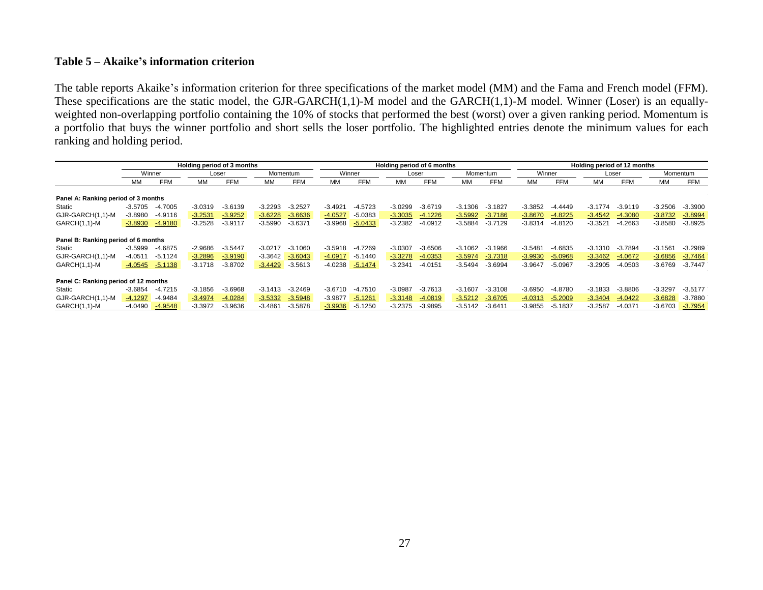#### **Table 5 – Akaike's information criterion**

The table reports Akaike's information criterion for three specifications of the market model (MM) and the Fama and French model (FFM). These specifications are the static model, the GJR-GARCH(1,1)-M model and the GARCH(1,1)-M model. Winner (Loser) is an equallyweighted non-overlapping portfolio containing the 10% of stocks that performed the best (worst) over a given ranking period. Momentum is a portfolio that buys the winner portfolio and short sells the loser portfolio. The highlighted entries denote the minimum values for each ranking and holding period.

|                                      |           |            | Holding period of 3 months |            |           |            |           |           | Holding period of 6 months |            |           |            |           |            | Holding period of 12 months |            |           |            |
|--------------------------------------|-----------|------------|----------------------------|------------|-----------|------------|-----------|-----------|----------------------------|------------|-----------|------------|-----------|------------|-----------------------------|------------|-----------|------------|
|                                      |           | Winner     |                            | Loser      |           | Momentum   |           | Winner    |                            | Loser      | Momentum  |            |           | Winner     |                             | Loser      | Momentum  |            |
|                                      | MМ        | <b>FFM</b> | MM                         | <b>FFM</b> | MM        | <b>FFM</b> | MМ        | FFM       | MM                         | <b>FFM</b> | MM        | <b>FFM</b> | MМ        | <b>FFM</b> | MМ                          | <b>FFM</b> | ΜМ        | <b>FFM</b> |
| Panel A: Ranking period of 3 months  |           |            |                            |            |           |            |           |           |                            |            |           |            |           |            |                             |            |           |            |
| Static                               | $-3.5705$ | $-4.7005$  | $-3.0319$                  | $-3.6139$  | $-3.2293$ | $-3.2527$  | $-3.4921$ | $-4.5723$ | $-3.0299$                  | $-3.6719$  | $-3.1306$ | $-3.1827$  | $-3.3852$ | -4.4449    | $-3.1774$                   | $-3.9119$  | $-3.2506$ | $-3.3900$  |
| GJR-GARCH(1,1)-M                     | -3.8980   | -4.9116    | $-3.2531$                  | $-3.9252$  | $-3.6228$ | $-3.6636$  | $-4.0527$ | $-5.0383$ | $-3.3035$                  | $-4.1226$  | $-3.5992$ | $-3.7186$  | $-3.8670$ | $-4.8225$  | $-3.4542$                   | $-4.3080$  | $-3.8732$ | $-3.8994$  |
| $GARCH(1,1)-M$                       | $-3.8930$ | $-4.9180$  | $-3.2528$                  | $-3.9117$  | $-3.5990$ | $-3.6371$  | $-3.9968$ | $-5.0433$ | $-3.2382$                  | $-4.0912$  | $-3.5884$ | $-3.7129$  | $-3.8314$ | $-4.8120$  | $-3.3521$                   | $-4.2663$  | $-3.8580$ | $-3.8925$  |
| Panel B: Ranking period of 6 months  |           |            |                            |            |           |            |           |           |                            |            |           |            |           |            |                             |            |           |            |
| Static                               | -3.5999   | $-4.6875$  | $-2.9686$                  | $-3.5447$  | $-3.0217$ | $-3.1060$  | $-3.5918$ | -4.7269   | $-3.0307$                  | $-3.6506$  | $-3.1062$ | $-3.1966$  | $-3.5481$ | $-4.6835$  | $-3.1310$                   | $-3.7894$  | $-3.1561$ | $-3.2989$  |
| GJR-GARCH(1,1)-M                     | -4.0511   | -5.1124    | $-3.2896$                  | $-3.9190$  | $-3.3642$ | $-3.6043$  | $-4.0917$ | $-5.1440$ | $-3.3278$                  | $-4.0353$  | $-3.5974$ | $-3.7318$  | $-3.9930$ | $-5.0968$  | $-3.3462$                   | $-4.0672$  | $-3.6856$ | $-3.7464$  |
| GARCH(1,1)-M                         | -4.0545   | $-5.1138$  | $-3.1718$                  | $-3.8702$  | $-3.4429$ | $-3.5613$  | $-4.0238$ | $-5.1474$ | $-3.2341$                  | $-4.0151$  | $-3.5494$ | $-3.6994$  | $-3.9647$ | $-5.0967$  | $-3.2905$                   | $-4.0503$  | $-3.6769$ | $-3.7447$  |
| Panel C: Ranking period of 12 months |           |            |                            |            |           |            |           |           |                            |            |           |            |           |            |                             |            |           |            |
| Static                               | -3.6854   | $-4.7215$  | $-3.1856$                  | $-3.6968$  | $-3.1413$ | $-3.2469$  | $-3.6710$ | $-4.7510$ | $-3.0987$                  | $-3.7613$  | $-3.1607$ | $-3.3108$  | $-3.6950$ | $-4.8780$  | $-3.1833$                   | $-3.8806$  | $-3.3297$ | $-3.5177$  |
| GJR-GARCH(1,1)-M                     | $-4.1297$ | -4.9484    | $-3.4974$                  | $-4.0284$  | $-3.5332$ | $-3.5948$  | $-3.9877$ | $-5.1261$ | $-3.3148$                  | $-4.0819$  | $-3.5212$ | $-3.6705$  | $-4.0313$ | $-5.2009$  | $-3.3404$                   | $-4.0422$  | $-3.6828$ | $-3.7880$  |
| GARCH(1,1)-M                         | -4.0490   | $-4.9548$  | $-3.3972$                  | $-3.9636$  | $-3.4861$ | $-3.5878$  | $-3.9936$ | $-5.1250$ | $-3.2375$                  | $-3.9895$  | $-3.5142$ | $-3.6411$  | $-3.9855$ | $-5.1837$  | $-3.2587$                   | $-4.0371$  | $-3.6703$ | $-3.7954$  |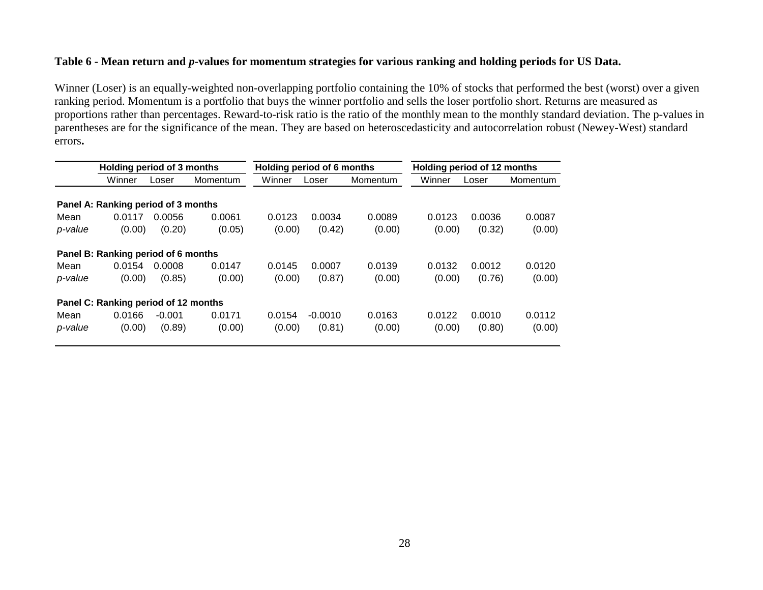#### **Table 6 - Mean return and** *p***-values for momentum strategies for various ranking and holding periods for US Data.**

Winner (Loser) is an equally-weighted non-overlapping portfolio containing the 10% of stocks that performed the best (worst) over a given ranking period. Momentum is a portfolio that buys the winner portfolio and sells the loser portfolio short. Returns are measured as proportions rather than percentages. Reward-to-risk ratio is the ratio of the monthly mean to the monthly standard deviation. The p-values in parentheses are for the significance of the mean. They are based on heteroscedasticity and autocorrelation robust (Newey-West) standard errors**.**

|         | Holding period of 3 months           |          |          | Holding period of 6 months |           |          | Holding period of 12 months |        |          |
|---------|--------------------------------------|----------|----------|----------------------------|-----------|----------|-----------------------------|--------|----------|
|         | Winner                               | Loser    | Momentum | Winner                     | Loser     | Momentum | Winner                      | Loser  | Momentum |
|         |                                      |          |          |                            |           |          |                             |        |          |
|         | Panel A: Ranking period of 3 months  |          |          |                            |           |          |                             |        |          |
| Mean    | 0.0117                               | 0.0056   | 0.0061   | 0.0123                     | 0.0034    | 0.0089   | 0.0123                      | 0.0036 | 0.0087   |
| p-value | (0.00)                               | (0.20)   | (0.05)   | (0.00)                     | (0.42)    | (0.00)   | (0.00)                      | (0.32) | (0.00)   |
|         |                                      |          |          |                            |           |          |                             |        |          |
|         | Panel B: Ranking period of 6 months  |          |          |                            |           |          |                             |        |          |
| Mean    | 0.0154                               | 0.0008   | 0.0147   | 0.0145                     | 0.0007    | 0.0139   | 0.0132                      | 0.0012 | 0.0120   |
| p-value | (0.00)                               | (0.85)   | (0.00)   | (0.00)                     | (0.87)    | (0.00)   | (0.00)                      | (0.76) | (0.00)   |
|         |                                      |          |          |                            |           |          |                             |        |          |
|         | Panel C: Ranking period of 12 months |          |          |                            |           |          |                             |        |          |
| Mean    | 0.0166                               | $-0.001$ | 0.0171   | 0.0154                     | $-0.0010$ | 0.0163   | 0.0122                      | 0.0010 | 0.0112   |
| p-value | (0.00)                               | (0.89)   | (0.00)   | (0.00)                     | (0.81)    | (0.00)   | (0.00)                      | (0.80) | (0.00)   |
|         |                                      |          |          |                            |           |          |                             |        |          |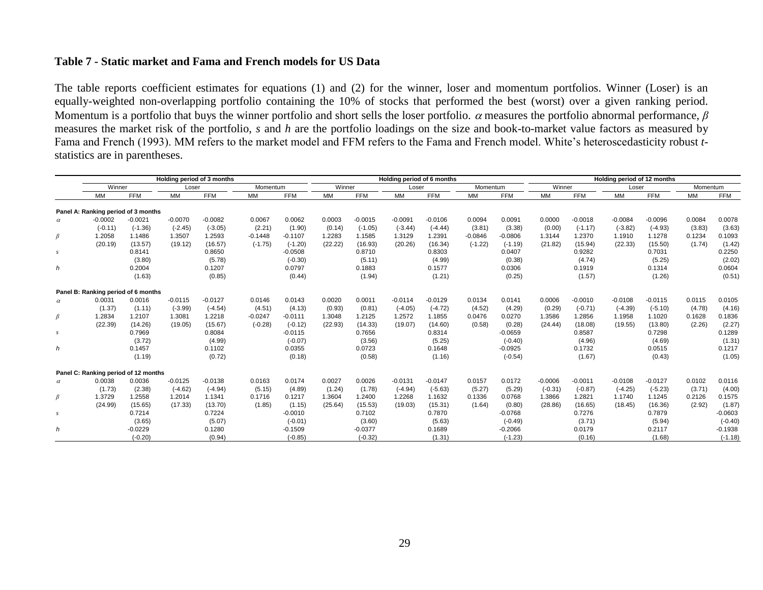#### **Table 7 - Static market and Fama and French models for US Data**

The table reports coefficient estimates for equations (1) and (2) for the winner, loser and momentum portfolios. Winner (Loser) is an equally-weighted non-overlapping portfolio containing the 10% of stocks that performed the best (worst) over a given ranking period. Momentum is a portfolio that buys the winner portfolio and short sells the loser portfolio. *α* measures the portfolio abnormal performance, *β* measures the market risk of the portfolio, *s* and *h* are the portfolio loadings on the size and book-to-market value factors as measured by Fama and French (1993). MM refers to the market model and FFM refers to the Fama and French model. White's heteroscedasticity robust *t*statistics are in parentheses.

|                  |                                      |            |           | Holding period of 3 months |           |            |           |            |           | Holding period of 6 months |           |            |           |            | Holding period of 12 months |            |           |            |
|------------------|--------------------------------------|------------|-----------|----------------------------|-----------|------------|-----------|------------|-----------|----------------------------|-----------|------------|-----------|------------|-----------------------------|------------|-----------|------------|
|                  | Winner                               |            | Loser     |                            | Momentum  |            | Winner    |            | Loser     |                            | Momentum  |            | Winner    |            | Loser                       |            | Momentum  |            |
|                  | <b>MM</b>                            | <b>FFM</b> | <b>MM</b> | <b>FFM</b>                 | <b>MM</b> | <b>FFM</b> | <b>MM</b> | <b>FFM</b> | <b>MM</b> | <b>FFM</b>                 | <b>MM</b> | <b>FFM</b> | MM        | <b>FFM</b> | MM                          | <b>FFM</b> | <b>MM</b> | <b>FFM</b> |
|                  | Panel A: Ranking period of 3 months  |            |           |                            |           |            |           |            |           |                            |           |            |           |            |                             |            |           |            |
| $\alpha$         | $-0.0002$                            | $-0.0021$  | $-0.0070$ | $-0.0082$                  | 0.0067    | 0.0062     | 0.0003    | $-0.0015$  | $-0.0091$ | $-0.0106$                  | 0.0094    | 0.0091     | 0.0000    | $-0.0018$  | $-0.0084$                   | $-0.0096$  | 0.0084    | 0.0078     |
|                  | $(-0.11)$                            | $(-1.36)$  | $(-2.45)$ | $(-3.05)$                  | (2.21)    | (1.90)     | (0.14)    | $(-1.05)$  | $(-3.44)$ | $(-4.44)$                  | (3.81)    | (3.38)     | (0.00)    | $(-1.17)$  | $(-3.82)$                   | $(-4.93)$  | (3.83)    | (3.63)     |
|                  | 1.2058                               | 1.1486     | 1.3507    | 1.2593                     | $-0.1448$ | $-0.1107$  | 1.2283    | 1.1585     | 1.3129    | 1.2391                     | $-0.0846$ | $-0.0806$  | 1.3144    | 1.2370     | 1.1910                      | 1.1278     | 0.1234    | 0.1093     |
|                  | (20.19)                              | (13.57)    | (19.12)   | (16.57)                    | $(-1.75)$ | $(-1.20)$  | (22.22)   | (16.93)    | (20.26)   | (16.34)                    | $(-1.22)$ | $(-1.19)$  | (21.82)   | (15.94)    | (22.33)                     | (15.50)    | (1.74)    | (1.42)     |
| $\boldsymbol{S}$ |                                      | 0.8141     |           | 0.8650                     |           | $-0.0508$  |           | 0.8710     |           | 0.8303                     |           | 0.0407     |           | 0.9282     |                             | 0.7031     |           | 0.2250     |
|                  |                                      | (3.80)     |           | (5.78)                     |           | $(-0.30)$  |           | (5.11)     |           | (4.99)                     |           | (0.38)     |           | (4.74)     |                             | (5.25)     |           | (2.02)     |
| h                |                                      | 0.2004     |           | 0.1207                     |           | 0.0797     |           | 0.1883     |           | 0.1577                     |           | 0.0306     |           | 0.1919     |                             | 0.1314     |           | 0.0604     |
|                  |                                      | (1.63)     |           | (0.85)                     |           | (0.44)     |           | (1.94)     |           | (1.21)                     |           | (0.25)     |           | (1.57)     |                             | (1.26)     |           | (0.51)     |
|                  | Panel B: Ranking period of 6 months  |            |           |                            |           |            |           |            |           |                            |           |            |           |            |                             |            |           |            |
| $\alpha$         | 0.0031                               | 0.0016     | $-0.0115$ | $-0.0127$                  | 0.0146    | 0.0143     | 0.0020    | 0.0011     | $-0.0114$ | $-0.0129$                  | 0.0134    | 0.0141     | 0.0006    | $-0.0010$  | $-0.0108$                   | $-0.0115$  | 0.0115    | 0.0105     |
|                  | (1.37)                               | (1.11)     | $(-3.99)$ | $(-4.54)$                  | (4.51)    | (4.13)     | (0.93)    | (0.81)     | $(-4.05)$ | $(-4.72)$                  | (4.52)    | (4.29)     | (0.29)    | $(-0.71)$  | $(-4.39)$                   | $(-5.10)$  | (4.78)    | (4.16)     |
| $\beta$          | 1.2834                               | 1.2107     | 1.3081    | 1.2218                     | $-0.0247$ | $-0.0111$  | 1.3048    | 1.2125     | 1.2572    | 1.1855                     | 0.0476    | 0.0270     | 1.3586    | 1.2856     | 1.1958                      | 1.1020     | 0.1628    | 0.1836     |
|                  | (22.39)                              | (14.26)    | (19.05)   | (15.67)                    | $(-0.28)$ | $(-0.12)$  | (22.93)   | (14.33)    | (19.07)   | (14.60)                    | (0.58)    | (0.28)     | (24.44)   | (18.08)    | (19.55)                     | (13.80)    | (2.26)    | (2.27)     |
| s                |                                      | 0.7969     |           | 0.8084                     |           | $-0.0115$  |           | 0.7656     |           | 0.8314                     |           | $-0.0659$  |           | 0.8587     |                             | 0.7298     |           | 0.1289     |
|                  |                                      | (3.72)     |           | (4.99)                     |           | $(-0.07)$  |           | (3.56)     |           | (5.25)                     |           | $(-0.40)$  |           | (4.96)     |                             | (4.69)     |           | (1.31)     |
| h                |                                      | 0.1457     |           | 0.1102                     |           | 0.0355     |           | 0.0723     |           | 0.1648                     |           | $-0.0925$  |           | 0.1732     |                             | 0.0515     |           | 0.1217     |
|                  |                                      | (1.19)     |           | (0.72)                     |           | (0.18)     |           | (0.58)     |           | (1.16)                     |           | $(-0.54)$  |           | (1.67)     |                             | (0.43)     |           | (1.05)     |
|                  | Panel C: Ranking period of 12 months |            |           |                            |           |            |           |            |           |                            |           |            |           |            |                             |            |           |            |
| $\alpha$         | 0.0038                               | 0.0036     | $-0.0125$ | $-0.0138$                  | 0.0163    | 0.0174     | 0.0027    | 0.0026     | $-0.0131$ | $-0.0147$                  | 0.0157    | 0.0172     | $-0.0006$ | $-0.0011$  | $-0.0108$                   | $-0.0127$  | 0.0102    | 0.0116     |
|                  | (1.73)                               | (2.38)     | $(-4.62)$ | $(-4.94)$                  | (5.15)    | (4.89)     | (1.24)    | (1.78)     | $(-4.94)$ | $(-5.63)$                  | (5.27)    | (5.29)     | $(-0.31)$ | $(-0.87)$  | $(-4.25)$                   | $(-5.23)$  | (3.71)    | (4.00)     |
| $\beta$          | 1.3729                               | 1.2558     | 1.2014    | 1.1341                     | 0.1716    | 0.1217     | 1.3604    | 1.2400     | 1.2268    | 1.1632                     | 0.1336    | 0.0768     | 1.3866    | 1.2821     | 1.1740                      | 1.1245     | 0.2126    | 0.1575     |
|                  | (24.99)                              | (15.65)    | (17.33)   | (13.70)                    | (1.85)    | (1.15)     | (25.64)   | (15.53)    | (19.03)   | (15.31)                    | (1.64)    | (0.80)     | (28.86)   | (16.65)    | (18.45)                     | (16.36)    | (2.92)    | (1.87)     |
| $\boldsymbol{S}$ |                                      | 0.7214     |           | 0.7224                     |           | $-0.0010$  |           | 0.7102     |           | 0.7870                     |           | $-0.0768$  |           | 0.7276     |                             | 0.7879     |           | $-0.0603$  |
|                  |                                      | (3.65)     |           | (5.07)                     |           | $(-0.01)$  |           | (3.60)     |           | (5.63)                     |           | $(-0.49)$  |           | (3.71)     |                             | (5.94)     |           | $(-0.40)$  |
| h                |                                      | $-0.0229$  |           | 0.1280                     |           | $-0.1509$  |           | $-0.0377$  |           | 0.1689                     |           | $-0.2066$  |           | 0.0179     |                             | 0.2117     |           | $-0.1938$  |
|                  |                                      | $(-0.20)$  |           | (0.94)                     |           | $(-0.85)$  |           | $(-0.32)$  |           | (1.31)                     |           | $(-1.23)$  |           | (0.16)     |                             | (1.68)     |           | $(-1.18)$  |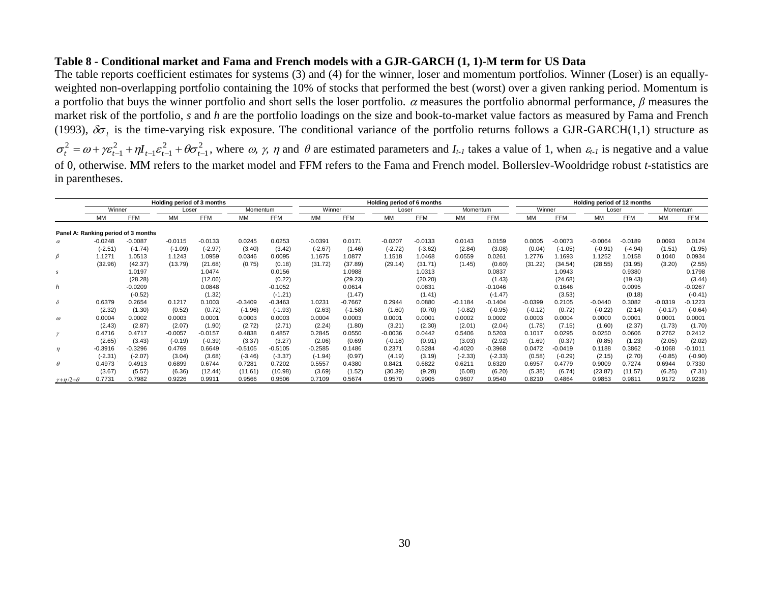#### **Table 8 - Conditional market and Fama and French models with a GJR-GARCH (1, 1)-M term for US Data**

The table reports coefficient estimates for systems (3) and (4) for the winner, loser and momentum portfolios. Winner (Loser) is an equallyweighted non-overlapping portfolio containing the 10% of stocks that performed the best (worst) over a given ranking period. Momentum is a portfolio that buys the winner portfolio and short sells the loser portfolio. measures the portfolio abnormal performance, *β* measures the market risk of the portfolio, *s* and *h* are the portfolio loadings on the size and book-to-market value factors as measured by Fama and French (1993),  $\delta\sigma_t$  is the time-varying risk exposure. The conditional variance of the portfolio returns follows a GJR-GARCH(1,1) structure as 2 1 2  $1$ <sup> $\sigma$ </sup> $t-1$ 2 1 2  $\sigma_t^2 = \omega + \gamma \varepsilon_{t-1}^2 + \eta I_{t-1} \varepsilon_{t-1}^2 + \theta \sigma_{t-1}^2$ , where  $\omega, \gamma, \eta$  and  $\theta$  are estimated parameters and  $I_{t-1}$  takes a value of 1, when  $\varepsilon_{t-1}$  is negative and a value of 0, otherwise. MM refers to the market model and FFM refers to the Fama and French model. Bollerslev-Wooldridge robust *t*-statistics are in parentheses.

|                            |           |                                     | Holding period of 3 months |            |           |            |           |            | Holding period of 6 months |            |           |            |           |            | Holding period of 12 months |            |           |            |
|----------------------------|-----------|-------------------------------------|----------------------------|------------|-----------|------------|-----------|------------|----------------------------|------------|-----------|------------|-----------|------------|-----------------------------|------------|-----------|------------|
|                            | Winner    |                                     | Loser                      |            | Momentum  |            | Winner    |            | Loser                      |            | Momentum  |            | Winner    |            | Loser                       |            | Momentum  |            |
|                            | <b>MM</b> | <b>FFM</b>                          | <b>MM</b>                  | <b>FFM</b> | <b>MM</b> | <b>FFM</b> | <b>MM</b> | <b>FFM</b> | <b>MM</b>                  | <b>FFM</b> | <b>MM</b> | <b>FFM</b> | <b>MM</b> | <b>FFM</b> | <b>MM</b>                   | <b>FFM</b> | МM        | <b>FFM</b> |
|                            |           | Panel A: Ranking period of 3 months |                            |            |           |            |           |            |                            |            |           |            |           |            |                             |            |           |            |
| $\alpha$                   | $-0.0248$ | $-0.0087$                           | $-0.0115$                  | $-0.0133$  | 0.0245    | 0.0253     | $-0.0391$ | 0.0171     | $-0.0207$                  | $-0.0133$  | 0.0143    | 0.0159     | 0.0005    | $-0.0073$  | $-0.0064$                   | $-0.0189$  | 0.0093    | 0.0124     |
|                            | $(-2.51)$ | $(-1.74)$                           | $(-1.09)$                  | $(-2.97)$  | (3.40)    | (3.42)     | $(-2.67)$ | (1.46)     | $(-2.72)$                  | $(-3.62)$  | (2.84)    | (3.08)     | (0.04)    | $(-1.05)$  | $(-0.91)$                   | $(-4.94)$  | (1.51)    | (1.95)     |
| $\beta$                    | 1.1271    | 1.0513                              | 1.1243                     | 1.0959     | 0.0346    | 0.0095     | 1.1675    | 1.0877     | 1.1518                     | 1.0468     | 0.0559    | 0.0261     | 1.2776    | 1.1693     | 1.1252                      | 1.0158     | 0.1040    | 0.0934     |
|                            | (32.96)   | (42.37)                             | (13.79)                    | (21.68)    | (0.75)    | (0.18)     | (31.72)   | (37.89)    | (29.14)                    | (31.71)    | (1.45)    | (0.60)     | (31.22)   | (34.54)    | (28.55)                     | (31.95)    | (3.20)    | (2.55)     |
| $\boldsymbol{S}$           |           | 1.0197                              |                            | 1.0474     |           | 0.0156     |           | 1.0988     |                            | 1.0313     |           | 0.0837     |           | 1.0943     |                             | 0.9380     |           | 0.1798     |
|                            |           | (28.28)                             |                            | (12.06)    |           | (0.22)     |           | (29.23)    |                            | (20.20)    |           | (1.43)     |           | (24.68)    |                             | (19.43)    |           | (3.44)     |
| $\hbar$                    |           | $-0.0209$                           |                            | 0.0848     |           | $-0.1052$  |           | 0.0614     |                            | 0.0831     |           | $-0.1046$  |           | 0.1646     |                             | 0.0095     |           | $-0.0267$  |
|                            |           | $(-0.52)$                           |                            | (1.32)     |           | $(-1.21)$  |           | (1.47)     |                            | (1.41)     |           | $(-1.47)$  |           | (3.53)     |                             | (0.18)     |           | $(-0.41)$  |
| $\delta$                   | 0.6379    | 0.2654                              | 0.1217                     | 0.1003     | $-0.3409$ | $-0.3463$  | 1.0231    | $-0.7667$  | 0.2944                     | 0.0880     | $-0.1184$ | $-0.1404$  | $-0.0399$ | 0.2105     | $-0.0440$                   | 0.3082     | $-0.0319$ | $-0.1223$  |
|                            | (2.32)    | (1.30)                              | (0.52)                     | (0.72)     | $(-1.96)$ | $(-1.93)$  | (2.63)    | $(-1.58)$  | (1.60)                     | (0.70)     | $(-0.82)$ | $(-0.95)$  | $(-0.12)$ | (0.72)     | $(-0.22)$                   | (2.14)     | $(-0.17)$ | $(-0.64)$  |
| $\omega$                   | 0.0004    | 0.0002                              | 0.0003                     | 0.0001     | 0.0003    | 0.0003     | 0.0004    | 0.0003     | 0.0001                     | 0.0001     | 0.0002    | 0.0002     | 0.0003    | 0.0004     | 0.0000                      | 0.0001     | 0.0001    | 0.0001     |
|                            | (2.43)    | (2.87)                              | (2.07)                     | (1.90)     | (2.72)    | (2.71)     | (2.24)    | (1.80)     | (3.21)                     | (2.30)     | (2.01)    | (2.04)     | (1.78)    | (7.15)     | (1.60)                      | (2.37)     | (1.73)    | (1.70)     |
| $\gamma$                   | 0.4716    | 0.4717                              | $-0.0057$                  | $-0.0157$  | 0.4838    | 0.4857     | 0.2845    | 0.0550     | $-0.0036$                  | 0.0442     | 0.5406    | 0.5203     | 0.1017    | 0.0295     | 0.0250                      | 0.0606     | 0.2762    | 0.2412     |
|                            | (2.65)    | (3.43)                              | $(-0.19)$                  | $(-0.39)$  | (3.37)    | (3.27)     | (2.06)    | (0.69)     | $(-0.18)$                  | (0.91)     | (3.03)    | (2.92)     | (1.69)    | (0.37)     | (0.85)                      | (1.23)     | (2.05)    | (2.02)     |
|                            | $-0.3916$ | $-0.3296$                           | 0.4769                     | 0.6649     | $-0.5105$ | $-0.5105$  | $-0.2585$ | 0.1486     | 0.2371                     | 0.5284     | $-0.4020$ | $-0.3968$  | 0.0472    | $-0.0419$  | 0.1188                      | 0.3862     | $-0.1068$ | $-0.1011$  |
|                            | $(-2.31)$ | $(-2.07)$                           | (3.04)                     | (3.68)     | $(-3.46)$ | $(-3.37)$  | $(-1.94)$ | (0.97)     | (4.19)                     | (3.19)     | $(-2.33)$ | $(-2.33)$  | (0.58)    | $(-0.29)$  | (2.15)                      | (2.70)     | $(-0.85)$ | $(-0.90)$  |
| $\theta$                   | 0.4973    | 0.4913                              | 0.6899                     | 0.6744     | 0.7281    | 0.7202     | 0.5557    | 0.4380     | 0.8421                     | 0.6822     | 0.6211    | 0.6320     | 0.6957    | 0.4779     | 0.9009                      | 0.7274     | 0.6944    | 0.7330     |
|                            | (3.67)    | (5.57)                              | (6.36)                     | (12.44)    | (11.61)   | (10.98)    | (3.69)    | (1.52)     | (30.39)                    | (9.28)     | (6.08)    | (6.20)     | (5.38)    | (6.74)     | (23.87)                     | (11.57)    | (6.25)    | (7.31)     |
| $\gamma + \eta/2 + \theta$ | 0.7731    | 0.7982                              | 0.9226                     | 0.9911     | 0.9566    | 0.9506     | 0.7109    | 0.5674     | 0.9570                     | 0.9905     | 0.9607    | 0.9540     | 0.8210    | 0.4864     | 0.9853                      | 0.9811     | 0.9172    | 0.9236     |